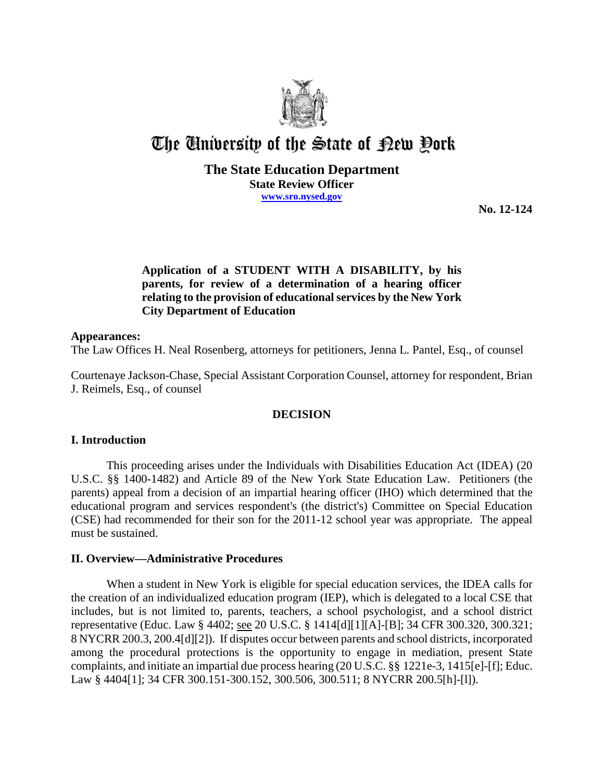

# The University of the State of Pew Pork

## **The State Education Department State Review Officer www.sro.nysed.gov**

**No. 12-124**

# **Application of a STUDENT WITH A DISABILITY, by his parents, for review of a determination of a hearing officer relating to the provision of educational services by the New York City Department of Education**

#### **Appearances:**

The Law Offices H. Neal Rosenberg, attorneys for petitioners, Jenna L. Pantel, Esq., of counsel

Courtenaye Jackson-Chase, Special Assistant Corporation Counsel, attorney for respondent, Brian J. Reimels, Esq., of counsel

## **DECISION**

## **I. Introduction**

This proceeding arises under the Individuals with Disabilities Education Act (IDEA) (20 U.S.C. §§ 1400-1482) and Article 89 of the New York State Education Law. Petitioners (the parents) appeal from a decision of an impartial hearing officer (IHO) which determined that the educational program and services respondent's (the district's) Committee on Special Education (CSE) had recommended for their son for the 2011-12 school year was appropriate. The appeal must be sustained.

## **II. Overview—Administrative Procedures**

When a student in New York is eligible for special education services, the IDEA calls for the creation of an individualized education program (IEP), which is delegated to a local CSE that includes, but is not limited to, parents, teachers, a school psychologist, and a school district representative (Educ. Law § 4402; see 20 U.S.C. § 1414[d][1][A]-[B]; 34 CFR 300.320, 300.321; 8 NYCRR 200.3, 200.4[d][2]). If disputes occur between parents and school districts, incorporated among the procedural protections is the opportunity to engage in mediation, present State complaints, and initiate an impartial due process hearing (20 U.S.C. §§ 1221e-3, 1415[e]-[f]; Educ. Law § 4404[1]; 34 CFR 300.151-300.152, 300.506, 300.511; 8 NYCRR 200.5[h]-[l]).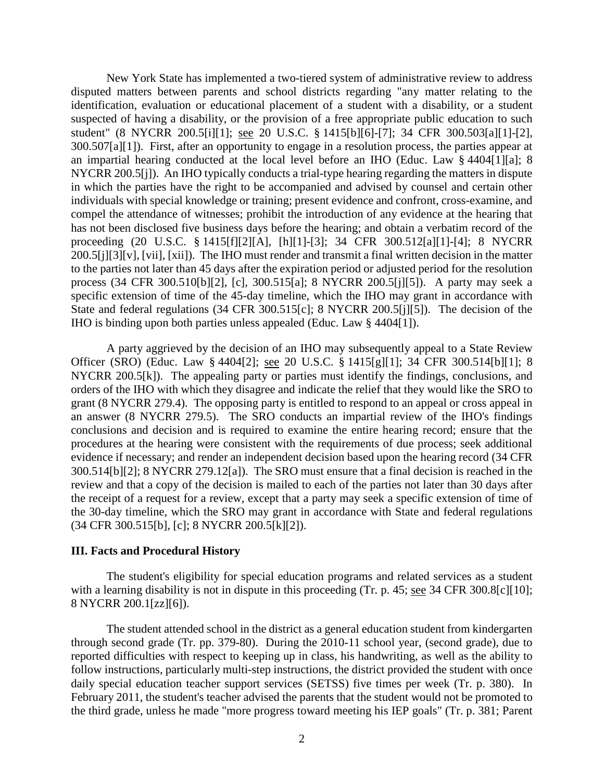New York State has implemented a two-tiered system of administrative review to address disputed matters between parents and school districts regarding "any matter relating to the identification, evaluation or educational placement of a student with a disability, or a student suspected of having a disability, or the provision of a free appropriate public education to such student" (8 NYCRR 200.5[i][1]; see 20 U.S.C. § 1415[b][6]-[7]; 34 CFR 300.503[a][1]-[2], 300.507[a][1]). First, after an opportunity to engage in a resolution process, the parties appear at an impartial hearing conducted at the local level before an IHO (Educ. Law § 4404[1][a]; 8 NYCRR 200.5[j]). An IHO typically conducts a trial-type hearing regarding the matters in dispute in which the parties have the right to be accompanied and advised by counsel and certain other individuals with special knowledge or training; present evidence and confront, cross-examine, and compel the attendance of witnesses; prohibit the introduction of any evidence at the hearing that has not been disclosed five business days before the hearing; and obtain a verbatim record of the proceeding (20 U.S.C. § 1415[f][2][A], [h][1]-[3]; 34 CFR 300.512[a][1]-[4]; 8 NYCRR 200.5[j][3][v], [vii], [xii]). The IHO must render and transmit a final written decision in the matter to the parties not later than 45 days after the expiration period or adjusted period for the resolution process (34 CFR 300.510[b][2], [c], 300.515[a]; 8 NYCRR 200.5[j][5]). A party may seek a specific extension of time of the 45-day timeline, which the IHO may grant in accordance with State and federal regulations (34 CFR 300.515[c]; 8 NYCRR 200.5[j][5]). The decision of the IHO is binding upon both parties unless appealed (Educ. Law § 4404[1]).

A party aggrieved by the decision of an IHO may subsequently appeal to a State Review Officer (SRO) (Educ. Law § 4404[2]; see 20 U.S.C. § 1415[g][1]; 34 CFR 300.514[b][1]; 8 NYCRR 200.5[k]). The appealing party or parties must identify the findings, conclusions, and orders of the IHO with which they disagree and indicate the relief that they would like the SRO to grant (8 NYCRR 279.4). The opposing party is entitled to respond to an appeal or cross appeal in an answer (8 NYCRR 279.5). The SRO conducts an impartial review of the IHO's findings conclusions and decision and is required to examine the entire hearing record; ensure that the procedures at the hearing were consistent with the requirements of due process; seek additional evidence if necessary; and render an independent decision based upon the hearing record (34 CFR 300.514[b][2]; 8 NYCRR 279.12[a]). The SRO must ensure that a final decision is reached in the review and that a copy of the decision is mailed to each of the parties not later than 30 days after the receipt of a request for a review, except that a party may seek a specific extension of time of the 30-day timeline, which the SRO may grant in accordance with State and federal regulations (34 CFR 300.515[b], [c]; 8 NYCRR 200.5[k][2]).

#### **III. Facts and Procedural History**

The student's eligibility for special education programs and related services as a student with a learning disability is not in dispute in this proceeding (Tr. p. 45; see 34 CFR 300.8[c][10]; 8 NYCRR 200.1[zz][6]).

The student attended school in the district as a general education student from kindergarten through second grade (Tr. pp. 379-80). During the 2010-11 school year, (second grade), due to reported difficulties with respect to keeping up in class, his handwriting, as well as the ability to follow instructions, particularly multi-step instructions, the district provided the student with once daily special education teacher support services (SETSS) five times per week (Tr. p. 380). In February 2011, the student's teacher advised the parents that the student would not be promoted to the third grade, unless he made "more progress toward meeting his IEP goals" (Tr. p. 381; Parent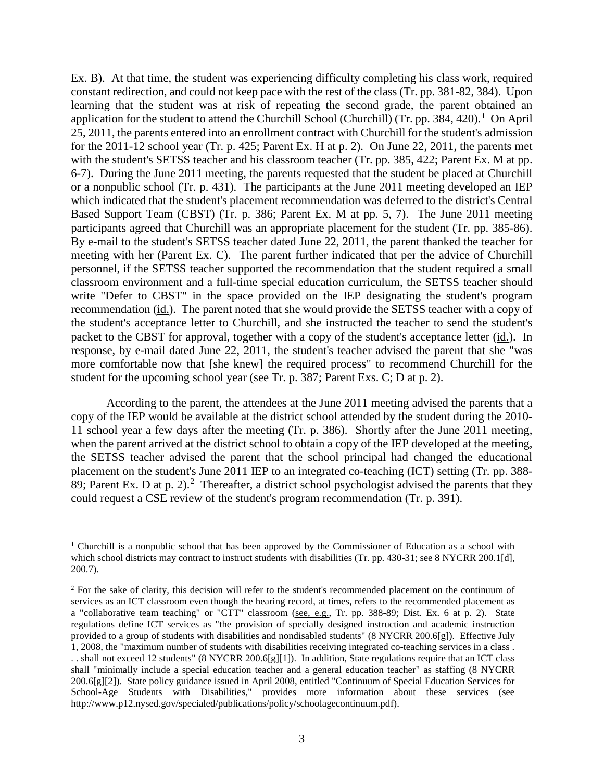Ex. B). At that time, the student was experiencing difficulty completing his class work, required constant redirection, and could not keep pace with the rest of the class (Tr. pp. 381-82, 384). Upon learning that the student was at risk of repeating the second grade, the parent obtained an application for the student to attend the Churchill School (Churchill) (Tr. pp. 384, 420).<sup>1</sup> On April 25, 2011, the parents entered into an enrollment contract with Churchill for the student's admission for the 2011-12 school year (Tr. p. 425; Parent Ex. H at p. 2). On June 22, 2011, the parents met with the student's SETSS teacher and his classroom teacher (Tr. pp. 385, 422; Parent Ex. M at pp. 6-7). During the June 2011 meeting, the parents requested that the student be placed at Churchill or a nonpublic school (Tr. p. 431). The participants at the June 2011 meeting developed an IEP which indicated that the student's placement recommendation was deferred to the district's Central Based Support Team (CBST) (Tr. p. 386; Parent Ex. M at pp. 5, 7). The June 2011 meeting participants agreed that Churchill was an appropriate placement for the student (Tr. pp. 385-86). By e-mail to the student's SETSS teacher dated June 22, 2011, the parent thanked the teacher for meeting with her (Parent Ex. C). The parent further indicated that per the advice of Churchill personnel, if the SETSS teacher supported the recommendation that the student required a small classroom environment and a full-time special education curriculum, the SETSS teacher should write "Defer to CBST" in the space provided on the IEP designating the student's program recommendation (id.). The parent noted that she would provide the SETSS teacher with a copy of the student's acceptance letter to Churchill, and she instructed the teacher to send the student's packet to the CBST for approval, together with a copy of the student's acceptance letter (id.). In response, by e-mail dated June 22, 2011, the student's teacher advised the parent that she "was more comfortable now that [she knew] the required process" to recommend Churchill for the student for the upcoming school year (see Tr. p. 387; Parent Exs. C; D at p. 2).

According to the parent, the attendees at the June 2011 meeting advised the parents that a copy of the IEP would be available at the district school attended by the student during the 2010- 11 school year a few days after the meeting (Tr. p. 386). Shortly after the June 2011 meeting, when the parent arrived at the district school to obtain a copy of the IEP developed at the meeting, the SETSS teacher advised the parent that the school principal had changed the educational placement on the student's June 2011 IEP to an integrated co-teaching (ICT) setting (Tr. pp. 388- 89; Parent Ex. D at p. 2).<sup>2</sup> Thereafter, a district school psychologist advised the parents that they could request a CSE review of the student's program recommendation (Tr. p. 391).

<sup>&</sup>lt;sup>1</sup> Churchill is a nonpublic school that has been approved by the Commissioner of Education as a school with which school districts may contract to instruct students with disabilities (Tr. pp. 430-31; see 8 NYCRR 200.1[d], 200.7).

<sup>&</sup>lt;sup>2</sup> For the sake of clarity, this decision will refer to the student's recommended placement on the continuum of services as an ICT classroom even though the hearing record, at times, refers to the recommended placement as a "collaborative team teaching" or "CTT" classroom (see, e.g., Tr. pp. 388-89; Dist. Ex. 6 at p. 2). State regulations define ICT services as "the provision of specially designed instruction and academic instruction provided to a group of students with disabilities and nondisabled students" (8 NYCRR 200.6[g]). Effective July 1, 2008, the "maximum number of students with disabilities receiving integrated co-teaching services in a class . . . shall not exceed 12 students" (8 NYCRR 200.6[g][1]). In addition, State regulations require that an ICT class shall "minimally include a special education teacher and a general education teacher" as staffing (8 NYCRR 200.6[g][2]). State policy guidance issued in April 2008, entitled "Continuum of Special Education Services for School-Age Students with Disabilities," provides more information about these services (see http://www.p12.nysed.gov/specialed/publications/policy/schoolagecontinuum.pdf).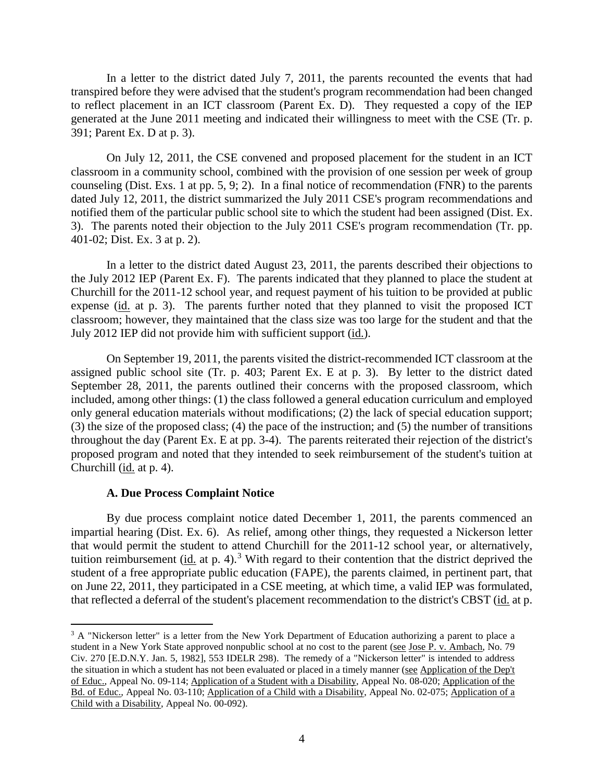In a letter to the district dated July 7, 2011, the parents recounted the events that had transpired before they were advised that the student's program recommendation had been changed to reflect placement in an ICT classroom (Parent Ex. D). They requested a copy of the IEP generated at the June 2011 meeting and indicated their willingness to meet with the CSE (Tr. p. 391; Parent Ex. D at p. 3).

On July 12, 2011, the CSE convened and proposed placement for the student in an ICT classroom in a community school, combined with the provision of one session per week of group counseling (Dist. Exs. 1 at pp. 5, 9; 2). In a final notice of recommendation (FNR) to the parents dated July 12, 2011, the district summarized the July 2011 CSE's program recommendations and notified them of the particular public school site to which the student had been assigned (Dist. Ex. 3). The parents noted their objection to the July 2011 CSE's program recommendation (Tr. pp. 401-02; Dist. Ex. 3 at p. 2).

In a letter to the district dated August 23, 2011, the parents described their objections to the July 2012 IEP (Parent Ex. F). The parents indicated that they planned to place the student at Churchill for the 2011-12 school year, and request payment of his tuition to be provided at public expense (id. at p. 3). The parents further noted that they planned to visit the proposed ICT classroom; however, they maintained that the class size was too large for the student and that the July 2012 IEP did not provide him with sufficient support (id.).

On September 19, 2011, the parents visited the district-recommended ICT classroom at the assigned public school site (Tr. p. 403; Parent Ex. E at p. 3). By letter to the district dated September 28, 2011, the parents outlined their concerns with the proposed classroom, which included, among other things: (1) the class followed a general education curriculum and employed only general education materials without modifications; (2) the lack of special education support; (3) the size of the proposed class; (4) the pace of the instruction; and (5) the number of transitions throughout the day (Parent Ex. E at pp. 3-4). The parents reiterated their rejection of the district's proposed program and noted that they intended to seek reimbursement of the student's tuition at Churchill (id. at p. 4).

#### **A. Due Process Complaint Notice**

By due process complaint notice dated December 1, 2011, the parents commenced an impartial hearing (Dist. Ex. 6). As relief, among other things, they requested a Nickerson letter that would permit the student to attend Churchill for the 2011-12 school year, or alternatively, tuition reimbursement (id. at p. 4).<sup>3</sup> With regard to their contention that the district deprived the student of a free appropriate public education (FAPE), the parents claimed, in pertinent part, that on June 22, 2011, they participated in a CSE meeting, at which time, a valid IEP was formulated, that reflected a deferral of the student's placement recommendation to the district's CBST (id. at p.

<sup>&</sup>lt;sup>3</sup> A "Nickerson letter" is a letter from the New York Department of Education authorizing a parent to place a student in a New York State approved nonpublic school at no cost to the parent (see Jose P. v. Ambach, No. 79 Civ. 270 [E.D.N.Y. Jan. 5, 1982], 553 IDELR 298). The remedy of a "Nickerson letter" is intended to address the situation in which a student has not been evaluated or placed in a timely manner (see Application of the Dep't of Educ., Appeal No. 09-114; Application of a Student with a Disability, Appeal No. 08-020; Application of the Bd. of Educ., Appeal No. 03-110; Application of a Child with a Disability, Appeal No. 02-075; Application of a Child with a Disability, Appeal No. 00-092).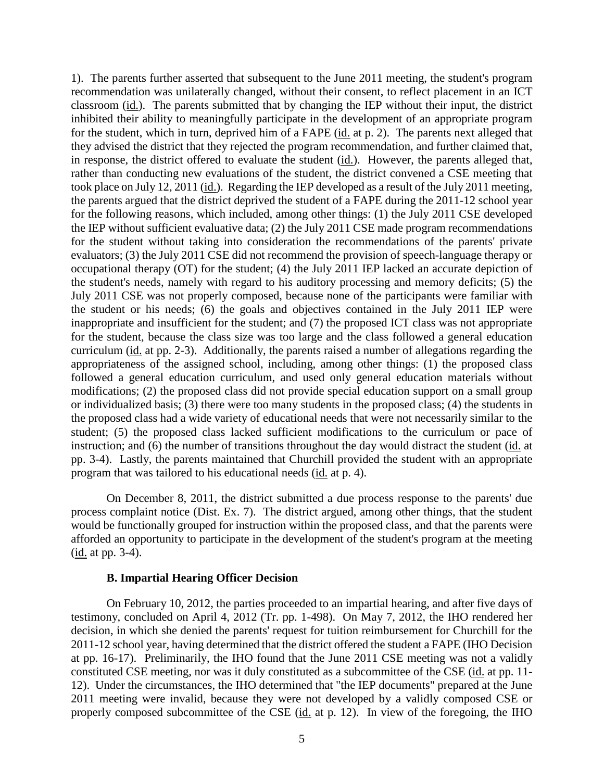1). The parents further asserted that subsequent to the June 2011 meeting, the student's program recommendation was unilaterally changed, without their consent, to reflect placement in an ICT classroom (id.). The parents submitted that by changing the IEP without their input, the district inhibited their ability to meaningfully participate in the development of an appropriate program for the student, which in turn, deprived him of a FAPE (id. at p. 2). The parents next alleged that they advised the district that they rejected the program recommendation, and further claimed that, in response, the district offered to evaluate the student (id.). However, the parents alleged that, rather than conducting new evaluations of the student, the district convened a CSE meeting that took place on July 12, 2011 (id.). Regarding the IEP developed as a result of the July 2011 meeting, the parents argued that the district deprived the student of a FAPE during the 2011-12 school year for the following reasons, which included, among other things: (1) the July 2011 CSE developed the IEP without sufficient evaluative data; (2) the July 2011 CSE made program recommendations for the student without taking into consideration the recommendations of the parents' private evaluators; (3) the July 2011 CSE did not recommend the provision of speech-language therapy or occupational therapy (OT) for the student; (4) the July 2011 IEP lacked an accurate depiction of the student's needs, namely with regard to his auditory processing and memory deficits; (5) the July 2011 CSE was not properly composed, because none of the participants were familiar with the student or his needs; (6) the goals and objectives contained in the July 2011 IEP were inappropriate and insufficient for the student; and (7) the proposed ICT class was not appropriate for the student, because the class size was too large and the class followed a general education curriculum (id. at pp. 2-3). Additionally, the parents raised a number of allegations regarding the appropriateness of the assigned school, including, among other things: (1) the proposed class followed a general education curriculum, and used only general education materials without modifications; (2) the proposed class did not provide special education support on a small group or individualized basis; (3) there were too many students in the proposed class; (4) the students in the proposed class had a wide variety of educational needs that were not necessarily similar to the student; (5) the proposed class lacked sufficient modifications to the curriculum or pace of instruction; and  $\overline{(6)}$  the number of transitions throughout the day would distract the student (id. at pp. 3-4). Lastly, the parents maintained that Churchill provided the student with an appropriate program that was tailored to his educational needs (id. at p. 4).

On December 8, 2011, the district submitted a due process response to the parents' due process complaint notice (Dist. Ex. 7). The district argued, among other things, that the student would be functionally grouped for instruction within the proposed class, and that the parents were afforded an opportunity to participate in the development of the student's program at the meeting (id. at pp. 3-4).

#### **B. Impartial Hearing Officer Decision**

On February 10, 2012, the parties proceeded to an impartial hearing, and after five days of testimony, concluded on April 4, 2012 (Tr. pp. 1-498). On May 7, 2012, the IHO rendered her decision, in which she denied the parents' request for tuition reimbursement for Churchill for the 2011-12 school year, having determined that the district offered the student a FAPE (IHO Decision at pp. 16-17). Preliminarily, the IHO found that the June 2011 CSE meeting was not a validly constituted CSE meeting, nor was it duly constituted as a subcommittee of the CSE (id. at pp. 11- 12). Under the circumstances, the IHO determined that "the IEP documents" prepared at the June 2011 meeting were invalid, because they were not developed by a validly composed CSE or properly composed subcommittee of the CSE (id. at p. 12). In view of the foregoing, the IHO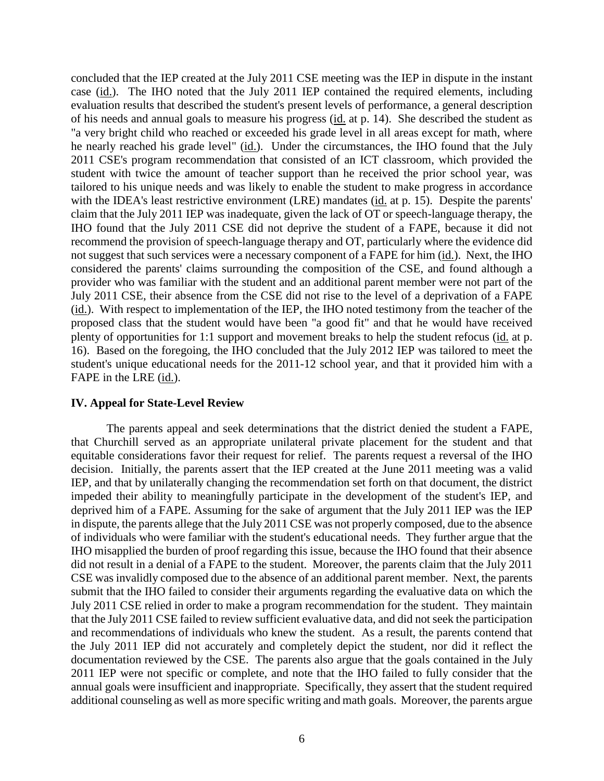concluded that the IEP created at the July 2011 CSE meeting was the IEP in dispute in the instant case (id.). The IHO noted that the July 2011 IEP contained the required elements, including evaluation results that described the student's present levels of performance, a general description of his needs and annual goals to measure his progress (id. at p. 14). She described the student as "a very bright child who reached or exceeded his grade level in all areas except for math, where he nearly reached his grade level" (id.). Under the circumstances, the IHO found that the July 2011 CSE's program recommendation that consisted of an ICT classroom, which provided the student with twice the amount of teacher support than he received the prior school year, was tailored to his unique needs and was likely to enable the student to make progress in accordance with the IDEA's least restrictive environment (LRE) mandates (id. at p. 15). Despite the parents' claim that the July 2011 IEP was inadequate, given the lack of OT or speech-language therapy, the IHO found that the July 2011 CSE did not deprive the student of a FAPE, because it did not recommend the provision of speech-language therapy and OT, particularly where the evidence did not suggest that such services were a necessary component of a FAPE for him (id.). Next, the IHO considered the parents' claims surrounding the composition of the CSE, and found although a provider who was familiar with the student and an additional parent member were not part of the July 2011 CSE, their absence from the CSE did not rise to the level of a deprivation of a FAPE (id.). With respect to implementation of the IEP, the IHO noted testimony from the teacher of the proposed class that the student would have been "a good fit" and that he would have received plenty of opportunities for 1:1 support and movement breaks to help the student refocus (id. at p. 16). Based on the foregoing, the IHO concluded that the July 2012 IEP was tailored to meet the student's unique educational needs for the 2011-12 school year, and that it provided him with a FAPE in the LRE (id.).

#### **IV. Appeal for State-Level Review**

The parents appeal and seek determinations that the district denied the student a FAPE, that Churchill served as an appropriate unilateral private placement for the student and that equitable considerations favor their request for relief. The parents request a reversal of the IHO decision. Initially, the parents assert that the IEP created at the June 2011 meeting was a valid IEP, and that by unilaterally changing the recommendation set forth on that document, the district impeded their ability to meaningfully participate in the development of the student's IEP, and deprived him of a FAPE. Assuming for the sake of argument that the July 2011 IEP was the IEP in dispute, the parents allege that the July 2011 CSE was not properly composed, due to the absence of individuals who were familiar with the student's educational needs. They further argue that the IHO misapplied the burden of proof regarding this issue, because the IHO found that their absence did not result in a denial of a FAPE to the student. Moreover, the parents claim that the July 2011 CSE was invalidly composed due to the absence of an additional parent member. Next, the parents submit that the IHO failed to consider their arguments regarding the evaluative data on which the July 2011 CSE relied in order to make a program recommendation for the student. They maintain that the July 2011 CSE failed to review sufficient evaluative data, and did not seek the participation and recommendations of individuals who knew the student. As a result, the parents contend that the July 2011 IEP did not accurately and completely depict the student, nor did it reflect the documentation reviewed by the CSE. The parents also argue that the goals contained in the July 2011 IEP were not specific or complete, and note that the IHO failed to fully consider that the annual goals were insufficient and inappropriate. Specifically, they assert that the student required additional counseling as well as more specific writing and math goals. Moreover, the parents argue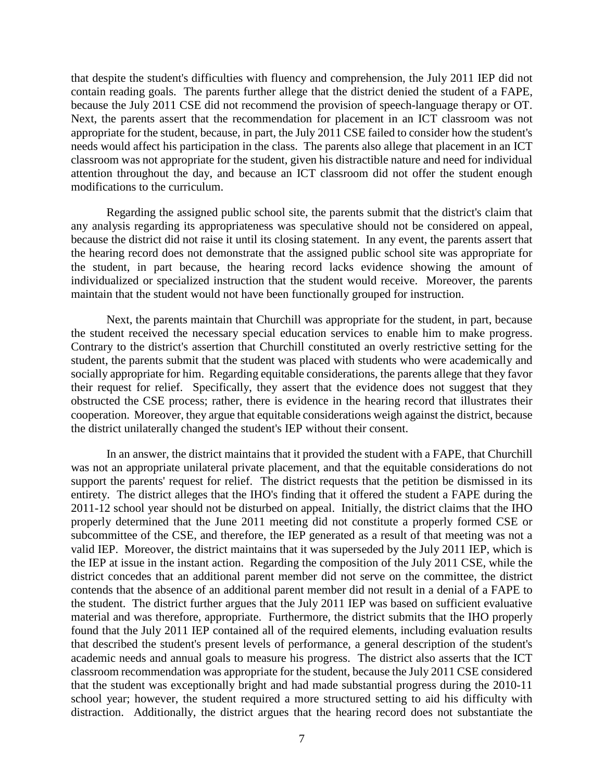that despite the student's difficulties with fluency and comprehension, the July 2011 IEP did not contain reading goals. The parents further allege that the district denied the student of a FAPE, because the July 2011 CSE did not recommend the provision of speech-language therapy or OT. Next, the parents assert that the recommendation for placement in an ICT classroom was not appropriate for the student, because, in part, the July 2011 CSE failed to consider how the student's needs would affect his participation in the class. The parents also allege that placement in an ICT classroom was not appropriate for the student, given his distractible nature and need for individual attention throughout the day, and because an ICT classroom did not offer the student enough modifications to the curriculum.

Regarding the assigned public school site, the parents submit that the district's claim that any analysis regarding its appropriateness was speculative should not be considered on appeal, because the district did not raise it until its closing statement. In any event, the parents assert that the hearing record does not demonstrate that the assigned public school site was appropriate for the student, in part because, the hearing record lacks evidence showing the amount of individualized or specialized instruction that the student would receive. Moreover, the parents maintain that the student would not have been functionally grouped for instruction.

Next, the parents maintain that Churchill was appropriate for the student, in part, because the student received the necessary special education services to enable him to make progress. Contrary to the district's assertion that Churchill constituted an overly restrictive setting for the student, the parents submit that the student was placed with students who were academically and socially appropriate for him. Regarding equitable considerations, the parents allege that they favor their request for relief. Specifically, they assert that the evidence does not suggest that they obstructed the CSE process; rather, there is evidence in the hearing record that illustrates their cooperation. Moreover, they argue that equitable considerations weigh against the district, because the district unilaterally changed the student's IEP without their consent.

In an answer, the district maintains that it provided the student with a FAPE, that Churchill was not an appropriate unilateral private placement, and that the equitable considerations do not support the parents' request for relief. The district requests that the petition be dismissed in its entirety. The district alleges that the IHO's finding that it offered the student a FAPE during the 2011-12 school year should not be disturbed on appeal. Initially, the district claims that the IHO properly determined that the June 2011 meeting did not constitute a properly formed CSE or subcommittee of the CSE, and therefore, the IEP generated as a result of that meeting was not a valid IEP. Moreover, the district maintains that it was superseded by the July 2011 IEP, which is the IEP at issue in the instant action. Regarding the composition of the July 2011 CSE, while the district concedes that an additional parent member did not serve on the committee, the district contends that the absence of an additional parent member did not result in a denial of a FAPE to the student. The district further argues that the July 2011 IEP was based on sufficient evaluative material and was therefore, appropriate. Furthermore, the district submits that the IHO properly found that the July 2011 IEP contained all of the required elements, including evaluation results that described the student's present levels of performance, a general description of the student's academic needs and annual goals to measure his progress. The district also asserts that the ICT classroom recommendation was appropriate for the student, because the July 2011 CSE considered that the student was exceptionally bright and had made substantial progress during the 2010-11 school year; however, the student required a more structured setting to aid his difficulty with distraction. Additionally, the district argues that the hearing record does not substantiate the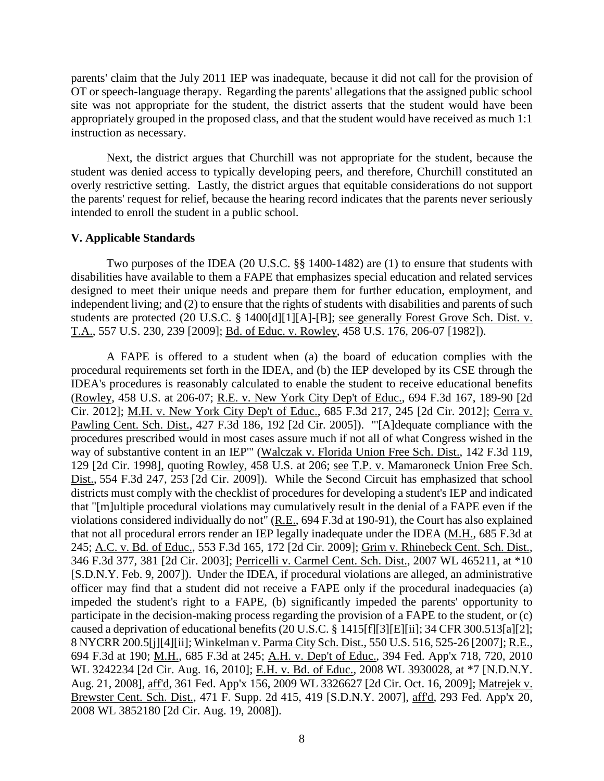parents' claim that the July 2011 IEP was inadequate, because it did not call for the provision of OT or speech-language therapy. Regarding the parents' allegations that the assigned public school site was not appropriate for the student, the district asserts that the student would have been appropriately grouped in the proposed class, and that the student would have received as much 1:1 instruction as necessary.

Next, the district argues that Churchill was not appropriate for the student, because the student was denied access to typically developing peers, and therefore, Churchill constituted an overly restrictive setting. Lastly, the district argues that equitable considerations do not support the parents' request for relief, because the hearing record indicates that the parents never seriously intended to enroll the student in a public school.

## **V. Applicable Standards**

Two purposes of the IDEA (20 U.S.C. §§ 1400-1482) are (1) to ensure that students with disabilities have available to them a FAPE that emphasizes special education and related services designed to meet their unique needs and prepare them for further education, employment, and independent living; and (2) to ensure that the rights of students with disabilities and parents of such students are protected (20 U.S.C. § 1400[d][1][A]-[B]; see generally Forest Grove Sch. Dist. v. T.A., 557 U.S. 230, 239 [2009]; Bd. of Educ. v. Rowley, 458 U.S. 176, 206-07 [1982]).

A FAPE is offered to a student when (a) the board of education complies with the procedural requirements set forth in the IDEA, and (b) the IEP developed by its CSE through the IDEA's procedures is reasonably calculated to enable the student to receive educational benefits (Rowley, 458 U.S. at 206-07; R.E. v. New York City Dep't of Educ., 694 F.3d 167, 189-90 [2d Cir. 2012]; M.H. v. New York City Dep't of Educ., 685 F.3d 217, 245 [2d Cir. 2012]; Cerra v. Pawling Cent. Sch. Dist., 427 F.3d 186, 192 [2d Cir. 2005]). "'[A]dequate compliance with the procedures prescribed would in most cases assure much if not all of what Congress wished in the way of substantive content in an IEP'" (Walczak v. Florida Union Free Sch. Dist., 142 F.3d 119, 129 [2d Cir. 1998], quoting Rowley, 458 U.S. at 206; see T.P. v. Mamaroneck Union Free Sch. Dist., 554 F.3d 247, 253 [2d Cir. 2009]). While the Second Circuit has emphasized that school districts must comply with the checklist of procedures for developing a student's IEP and indicated that "[m]ultiple procedural violations may cumulatively result in the denial of a FAPE even if the violations considered individually do not" (R.E., 694 F.3d at 190-91), the Court has also explained that not all procedural errors render an IEP legally inadequate under the IDEA (M.H., 685 F.3d at 245; A.C. v. Bd. of Educ., 553 F.3d 165, 172 [2d Cir. 2009]; Grim v. Rhinebeck Cent. Sch. Dist., 346 F.3d 377, 381 [2d Cir. 2003]; Perricelli v. Carmel Cent. Sch. Dist., 2007 WL 465211, at \*10 [S.D.N.Y. Feb. 9, 2007]). Under the IDEA, if procedural violations are alleged, an administrative officer may find that a student did not receive a FAPE only if the procedural inadequacies (a) impeded the student's right to a FAPE, (b) significantly impeded the parents' opportunity to participate in the decision-making process regarding the provision of a FAPE to the student, or (c) caused a deprivation of educational benefits (20 U.S.C. § 1415[f][3][E][ii]; 34 CFR 300.513[a][2]; 8 NYCRR 200.5[j][4][ii]; Winkelman v. Parma City Sch. Dist., 550 U.S. 516, 525-26 [2007]; R.E., 694 F.3d at 190; M.H., 685 F.3d at 245; A.H. v. Dep't of Educ., 394 Fed. App'x 718, 720, 2010 WL 3242234 [2d Cir. Aug. 16, 2010]; E.H. v. Bd. of Educ., 2008 WL 3930028, at \*7 [N.D.N.Y. Aug. 21, 2008], aff'd, 361 Fed. App'x 156, 2009 WL 3326627 [2d Cir. Oct. 16, 2009]; Matrejek v. Brewster Cent. Sch. Dist., 471 F. Supp. 2d 415, 419 [S.D.N.Y. 2007], aff'd, 293 Fed. App'x 20, 2008 WL 3852180 [2d Cir. Aug. 19, 2008]).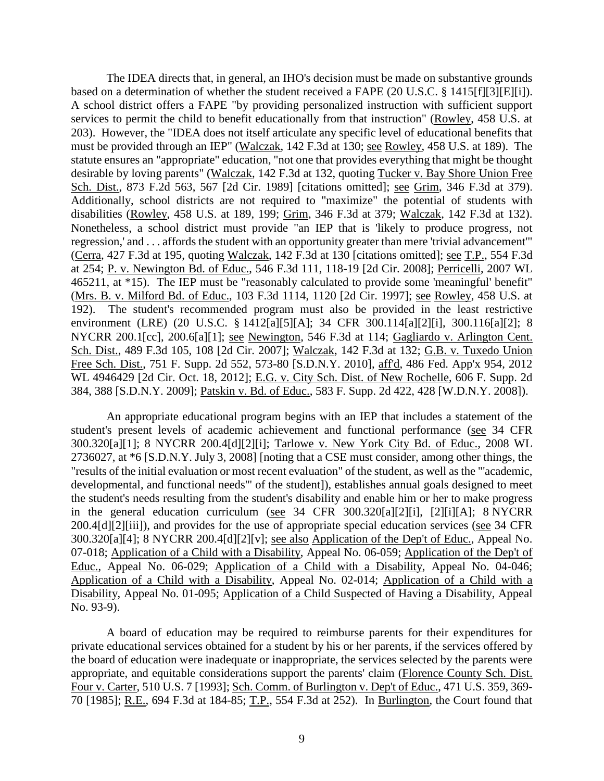The IDEA directs that, in general, an IHO's decision must be made on substantive grounds based on a determination of whether the student received a FAPE (20 U.S.C. § 1415[f][3][E][i]). A school district offers a FAPE "by providing personalized instruction with sufficient support services to permit the child to benefit educationally from that instruction" (Rowley, 458 U.S. at 203). However, the "IDEA does not itself articulate any specific level of educational benefits that must be provided through an IEP" (Walczak, 142 F.3d at 130; see Rowley, 458 U.S. at 189). The statute ensures an "appropriate" education, "not one that provides everything that might be thought desirable by loving parents" (Walczak, 142 F.3d at 132, quoting Tucker v. Bay Shore Union Free Sch. Dist., 873 F.2d 563, 567 [2d Cir. 1989] [citations omitted]; see Grim, 346 F.3d at 379). Additionally, school districts are not required to "maximize" the potential of students with disabilities (Rowley, 458 U.S. at 189, 199; Grim, 346 F.3d at 379; Walczak, 142 F.3d at 132). Nonetheless, a school district must provide "an IEP that is 'likely to produce progress, not regression,' and . . . affords the student with an opportunity greater than mere 'trivial advancement'" (Cerra, 427 F.3d at 195, quoting Walczak, 142 F.3d at 130 [citations omitted]; see T.P., 554 F.3d at 254; P. v. Newington Bd. of Educ., 546 F.3d 111, 118-19 [2d Cir. 2008]; Perricelli, 2007 WL 465211, at \*15). The IEP must be "reasonably calculated to provide some 'meaningful' benefit" (Mrs. B. v. Milford Bd. of Educ., 103 F.3d 1114, 1120 [2d Cir. 1997]; see Rowley, 458 U.S. at 192). The student's recommended program must also be provided in the least restrictive environment (LRE) (20 U.S.C. § 1412[a][5][A]; 34 CFR 300.114[a][2][i], 300.116[a][2]; 8 NYCRR 200.1[cc], 200.6[a][1]; see Newington, 546 F.3d at 114; Gagliardo v. Arlington Cent. Sch. Dist., 489 F.3d 105, 108 [2d Cir. 2007]; Walczak, 142 F.3d at 132; G.B. v. Tuxedo Union Free Sch. Dist., 751 F. Supp. 2d 552, 573-80 [S.D.N.Y. 2010], aff'd, 486 Fed. App'x 954, 2012 WL 4946429 [2d Cir. Oct. 18, 2012]; E.G. v. City Sch. Dist. of New Rochelle, 606 F. Supp. 2d 384, 388 [S.D.N.Y. 2009]; Patskin v. Bd. of Educ., 583 F. Supp. 2d 422, 428 [W.D.N.Y. 2008]).

An appropriate educational program begins with an IEP that includes a statement of the student's present levels of academic achievement and functional performance (see 34 CFR 300.320[a][1]; 8 NYCRR 200.4[d][2][i]; Tarlowe v. New York City Bd. of Educ., 2008 WL 2736027, at \*6 [S.D.N.Y. July 3, 2008] [noting that a CSE must consider, among other things, the "results of the initial evaluation or most recent evaluation" of the student, as well as the "'academic, developmental, and functional needs'" of the student]), establishes annual goals designed to meet the student's needs resulting from the student's disability and enable him or her to make progress in the general education curriculum (see 34 CFR 300.320[a][2][i], [2][i][A]; 8 NYCRR 200.4[d][2][iii]), and provides for the use of appropriate special education services (see 34 CFR 300.320[a][4]; 8 NYCRR 200.4[d][2][v]; see also Application of the Dep't of Educ., Appeal No. 07-018; Application of a Child with a Disability, Appeal No. 06-059; Application of the Dep't of Educ., Appeal No. 06-029; Application of a Child with a Disability, Appeal No. 04-046; Application of a Child with a Disability, Appeal No. 02-014; Application of a Child with a Disability, Appeal No. 01-095; Application of a Child Suspected of Having a Disability, Appeal No. 93-9).

A board of education may be required to reimburse parents for their expenditures for private educational services obtained for a student by his or her parents, if the services offered by the board of education were inadequate or inappropriate, the services selected by the parents were appropriate, and equitable considerations support the parents' claim (Florence County Sch. Dist. Four v. Carter, 510 U.S. 7 [1993]; Sch. Comm. of Burlington v. Dep't of Educ., 471 U.S. 359, 369- 70 [1985]; R.E., 694 F.3d at 184-85; T.P., 554 F.3d at 252). In Burlington, the Court found that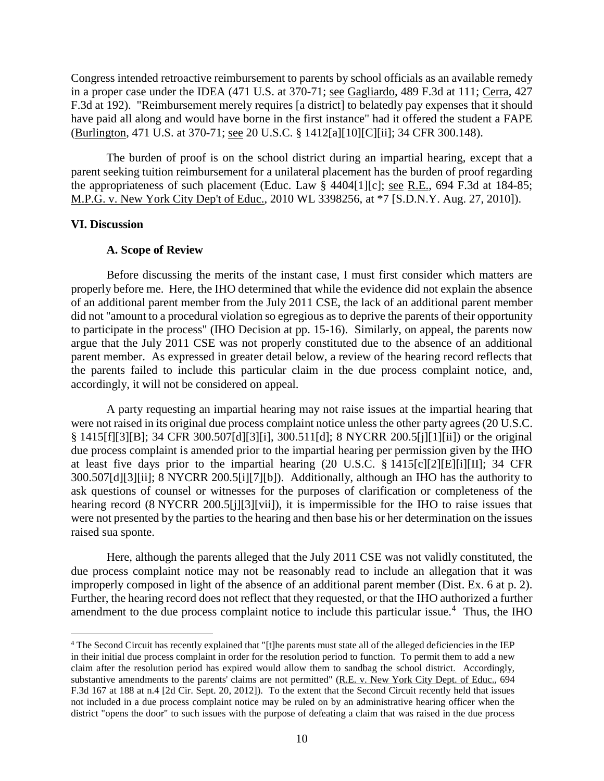Congress intended retroactive reimbursement to parents by school officials as an available remedy in a proper case under the IDEA (471 U.S. at 370-71; see Gagliardo, 489 F.3d at 111; Cerra, 427 F.3d at 192). "Reimbursement merely requires [a district] to belatedly pay expenses that it should have paid all along and would have borne in the first instance" had it offered the student a FAPE (Burlington, 471 U.S. at 370-71; see 20 U.S.C. § 1412[a][10][C][ii]; 34 CFR 300.148).

The burden of proof is on the school district during an impartial hearing, except that a parent seeking tuition reimbursement for a unilateral placement has the burden of proof regarding the appropriateness of such placement (Educ. Law § 4404[1][c]; see R.E., 694 F.3d at 184-85; M.P.G. v. New York City Dep't of Educ., 2010 WL 3398256, at \*7 [S.D.N.Y. Aug. 27, 2010]).

#### **VI. Discussion**

#### **A. Scope of Review**

Before discussing the merits of the instant case, I must first consider which matters are properly before me. Here, the IHO determined that while the evidence did not explain the absence of an additional parent member from the July 2011 CSE, the lack of an additional parent member did not "amount to a procedural violation so egregious as to deprive the parents of their opportunity to participate in the process" (IHO Decision at pp. 15-16). Similarly, on appeal, the parents now argue that the July 2011 CSE was not properly constituted due to the absence of an additional parent member. As expressed in greater detail below, a review of the hearing record reflects that the parents failed to include this particular claim in the due process complaint notice, and, accordingly, it will not be considered on appeal.

A party requesting an impartial hearing may not raise issues at the impartial hearing that were not raised in its original due process complaint notice unless the other party agrees (20 U.S.C. § 1415[f][3][B]; 34 CFR 300.507[d][3][i], 300.511[d]; 8 NYCRR 200.5[j][1][ii]) or the original due process complaint is amended prior to the impartial hearing per permission given by the IHO at least five days prior to the impartial hearing (20 U.S.C. § 1415[c][2][E][i][II]; 34 CFR 300.507[d][3][ii]; 8 NYCRR 200.5[i][7][b]). Additionally, although an IHO has the authority to ask questions of counsel or witnesses for the purposes of clarification or completeness of the hearing record (8 NYCRR 200.5[j][3][vii]), it is impermissible for the IHO to raise issues that were not presented by the parties to the hearing and then base his or her determination on the issues raised sua sponte.

Here, although the parents alleged that the July 2011 CSE was not validly constituted, the due process complaint notice may not be reasonably read to include an allegation that it was improperly composed in light of the absence of an additional parent member (Dist. Ex. 6 at p. 2). Further, the hearing record does not reflect that they requested, or that the IHO authorized a further amendment to the due process complaint notice to include this particular issue.<sup>4</sup> Thus, the IHO

<sup>&</sup>lt;sup>4</sup> The Second Circuit has recently explained that "[t]he parents must state all of the alleged deficiencies in the IEP in their initial due process complaint in order for the resolution period to function. To permit them to add a new claim after the resolution period has expired would allow them to sandbag the school district. Accordingly, substantive amendments to the parents' claims are not permitted" (R.E. v. New York City Dept. of Educ., 694 F.3d 167 at 188 at n.4 [2d Cir. Sept. 20, 2012]). To the extent that the Second Circuit recently held that issues not included in a due process complaint notice may be ruled on by an administrative hearing officer when the district "opens the door" to such issues with the purpose of defeating a claim that was raised in the due process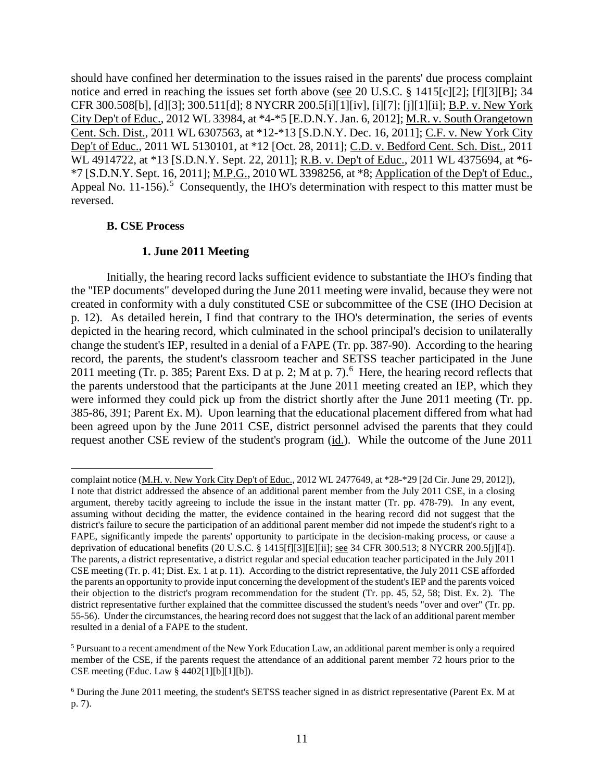should have confined her determination to the issues raised in the parents' due process complaint notice and erred in reaching the issues set forth above (see 20 U.S.C. § 1415[c][2]; [f][3][B]; 34 CFR 300.508[b], [d][3]; 300.511[d]; 8 NYCRR 200.5[i][1][iv], [i][7]; [j][1][ii]; B.P. v. New York City Dep't of Educ., 2012 WL 33984, at \*4-\*5 [E.D.N.Y. Jan. 6, 2012]; M.R. v. South Orangetown Cent. Sch. Dist., 2011 WL 6307563, at \*12-\*13 [S.D.N.Y. Dec. 16, 2011]; C.F. v. New York City Dep't of Educ., 2011 WL 5130101, at \*12 [Oct. 28, 2011]; C.D. v. Bedford Cent. Sch. Dist., 2011 WL 4914722, at \*13 [S.D.N.Y. Sept. 22, 2011]; R.B. v. Dep't of Educ., 2011 WL 4375694, at \*6- \*7 [S.D.N.Y. Sept. 16, 2011]; M.P.G., 2010 WL 3398256, at \*8; Application of the Dep't of Educ., Appeal No.  $11-156$ ).<sup>5</sup> Consequently, the IHO's determination with respect to this matter must be reversed.

## **B. CSE Process**

 $\overline{a}$ 

## **1. June 2011 Meeting**

Initially, the hearing record lacks sufficient evidence to substantiate the IHO's finding that the "IEP documents" developed during the June 2011 meeting were invalid, because they were not created in conformity with a duly constituted CSE or subcommittee of the CSE (IHO Decision at p. 12). As detailed herein, I find that contrary to the IHO's determination, the series of events depicted in the hearing record, which culminated in the school principal's decision to unilaterally change the student's IEP, resulted in a denial of a FAPE (Tr. pp. 387-90). According to the hearing record, the parents, the student's classroom teacher and SETSS teacher participated in the June 2011 meeting (Tr. p. 385; Parent Exs. D at p. 2; M at p. 7).<sup>6</sup> Here, the hearing record reflects that the parents understood that the participants at the June 2011 meeting created an IEP, which they were informed they could pick up from the district shortly after the June 2011 meeting (Tr. pp. 385-86, 391; Parent Ex. M). Upon learning that the educational placement differed from what had been agreed upon by the June 2011 CSE, district personnel advised the parents that they could request another CSE review of the student's program (id.). While the outcome of the June 2011

complaint notice (M.H. v. New York City Dep't of Educ., 2012 WL 2477649, at \*28-\*29 [2d Cir. June 29, 2012]), I note that district addressed the absence of an additional parent member from the July 2011 CSE, in a closing argument, thereby tacitly agreeing to include the issue in the instant matter (Tr. pp. 478-79). In any event, assuming without deciding the matter, the evidence contained in the hearing record did not suggest that the district's failure to secure the participation of an additional parent member did not impede the student's right to a FAPE, significantly impede the parents' opportunity to participate in the decision-making process, or cause a deprivation of educational benefits (20 U.S.C. § 1415[f][3][E][ii]; see 34 CFR 300.513; 8 NYCRR 200.5[j][4]). The parents, a district representative, a district regular and special education teacher participated in the July 2011 CSE meeting (Tr. p. 41; Dist. Ex. 1 at p. 11). According to the district representative, the July 2011 CSE afforded the parents an opportunity to provide input concerning the development of the student's IEP and the parents voiced their objection to the district's program recommendation for the student (Tr. pp. 45, 52, 58; Dist. Ex. 2). The district representative further explained that the committee discussed the student's needs "over and over" (Tr. pp. 55-56). Under the circumstances, the hearing record does not suggest that the lack of an additional parent member resulted in a denial of a FAPE to the student.

<sup>5</sup> Pursuant to a recent amendment of the New York Education Law, an additional parent member is only a required member of the CSE, if the parents request the attendance of an additional parent member 72 hours prior to the CSE meeting (Educ. Law § 4402[1][b][1][b]).

<sup>6</sup> During the June 2011 meeting, the student's SETSS teacher signed in as district representative (Parent Ex. M at p. 7).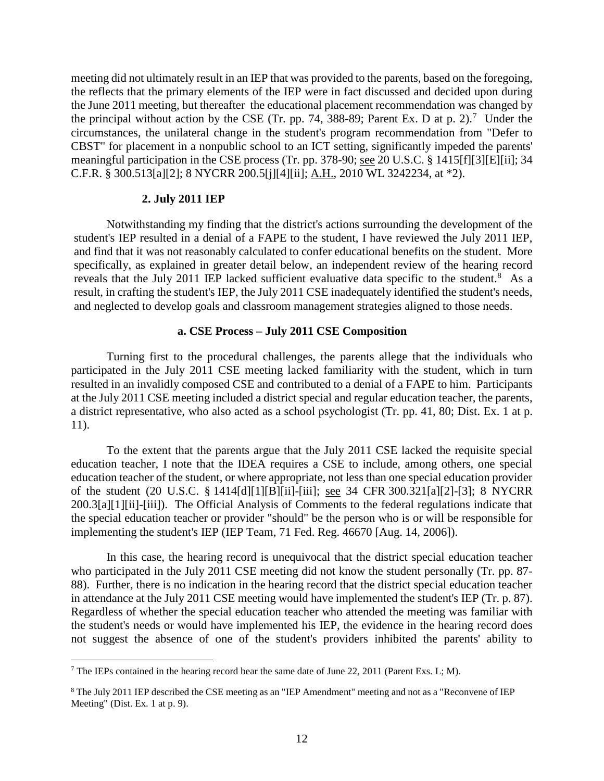meeting did not ultimately result in an IEP that was provided to the parents, based on the foregoing, the reflects that the primary elements of the IEP were in fact discussed and decided upon during the June 2011 meeting, but thereafter the educational placement recommendation was changed by the principal without action by the CSE (Tr. pp. 74, 388-89; Parent Ex. D at p. 2).<sup>7</sup> Under the circumstances, the unilateral change in the student's program recommendation from "Defer to CBST" for placement in a nonpublic school to an ICT setting, significantly impeded the parents' meaningful participation in the CSE process (Tr. pp. 378-90; see 20 U.S.C. § 1415[f][3][E][ii]; 34 C.F.R. § 300.513[a][2]; 8 NYCRR 200.5[j][4][ii]; A.H., 2010 WL 3242234, at \*2).

#### **2. July 2011 IEP**

Notwithstanding my finding that the district's actions surrounding the development of the student's IEP resulted in a denial of a FAPE to the student, I have reviewed the July 2011 IEP, and find that it was not reasonably calculated to confer educational benefits on the student. More specifically, as explained in greater detail below, an independent review of the hearing record reveals that the July 2011 IEP lacked sufficient evaluative data specific to the student.<sup>8</sup> As a result, in crafting the student's IEP, the July 2011 CSE inadequately identified the student's needs, and neglected to develop goals and classroom management strategies aligned to those needs.

## **a. CSE Process – July 2011 CSE Composition**

Turning first to the procedural challenges, the parents allege that the individuals who participated in the July 2011 CSE meeting lacked familiarity with the student, which in turn resulted in an invalidly composed CSE and contributed to a denial of a FAPE to him. Participants at the July 2011 CSE meeting included a district special and regular education teacher, the parents, a district representative, who also acted as a school psychologist (Tr. pp. 41, 80; Dist. Ex. 1 at p. 11).

To the extent that the parents argue that the July 2011 CSE lacked the requisite special education teacher, I note that the IDEA requires a CSE to include, among others, one special education teacher of the student, or where appropriate, not less than one special education provider of the student (20 U.S.C. § 1414[d][1][B][ii]-[iii]; see 34 CFR 300.321[a][2]-[3]; 8 NYCRR 200.3[a][1][ii]-[iii]). The Official Analysis of Comments to the federal regulations indicate that the special education teacher or provider "should" be the person who is or will be responsible for implementing the student's IEP (IEP Team, 71 Fed. Reg. 46670 [Aug. 14, 2006]).

In this case, the hearing record is unequivocal that the district special education teacher who participated in the July 2011 CSE meeting did not know the student personally (Tr. pp. 87- 88). Further, there is no indication in the hearing record that the district special education teacher in attendance at the July 2011 CSE meeting would have implemented the student's IEP (Tr. p. 87). Regardless of whether the special education teacher who attended the meeting was familiar with the student's needs or would have implemented his IEP, the evidence in the hearing record does not suggest the absence of one of the student's providers inhibited the parents' ability to

<sup>&</sup>lt;sup>7</sup> The IEPs contained in the hearing record bear the same date of June 22, 2011 (Parent Exs. L; M).

<sup>8</sup> The July 2011 IEP described the CSE meeting as an "IEP Amendment" meeting and not as a "Reconvene of IEP Meeting" (Dist. Ex. 1 at p. 9).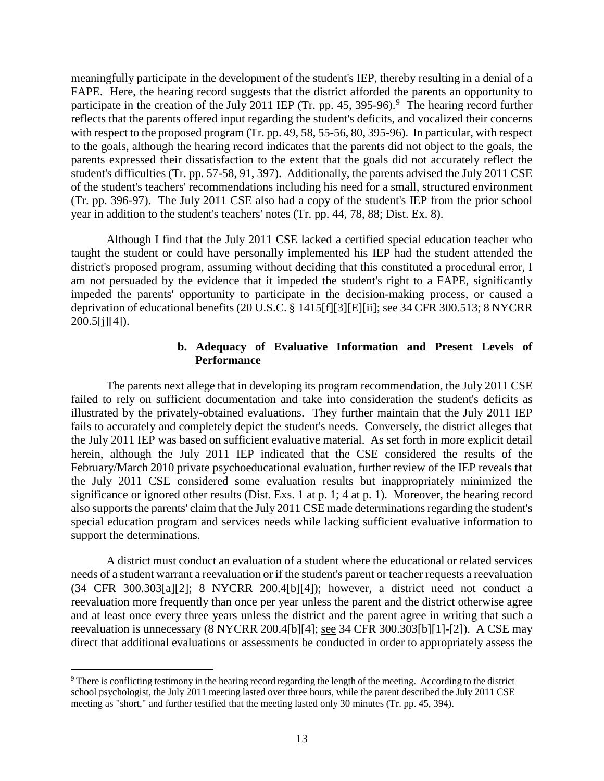meaningfully participate in the development of the student's IEP, thereby resulting in a denial of a FAPE. Here, the hearing record suggests that the district afforded the parents an opportunity to participate in the creation of the July 2011 IEP (Tr. pp. 45, 395-96).<sup>9</sup> The hearing record further reflects that the parents offered input regarding the student's deficits, and vocalized their concerns with respect to the proposed program (Tr. pp. 49, 58, 55-56, 80, 395-96). In particular, with respect to the goals, although the hearing record indicates that the parents did not object to the goals, the parents expressed their dissatisfaction to the extent that the goals did not accurately reflect the student's difficulties (Tr. pp. 57-58, 91, 397). Additionally, the parents advised the July 2011 CSE of the student's teachers' recommendations including his need for a small, structured environment (Tr. pp. 396-97). The July 2011 CSE also had a copy of the student's IEP from the prior school year in addition to the student's teachers' notes (Tr. pp. 44, 78, 88; Dist. Ex. 8).

Although I find that the July 2011 CSE lacked a certified special education teacher who taught the student or could have personally implemented his IEP had the student attended the district's proposed program, assuming without deciding that this constituted a procedural error, I am not persuaded by the evidence that it impeded the student's right to a FAPE, significantly impeded the parents' opportunity to participate in the decision-making process, or caused a deprivation of educational benefits (20 U.S.C. § 1415[f][3][E][ii]; see 34 CFR 300.513; 8 NYCRR  $200.5[i][4]$ .

## **b. Adequacy of Evaluative Information and Present Levels of Performance**

The parents next allege that in developing its program recommendation, the July 2011 CSE failed to rely on sufficient documentation and take into consideration the student's deficits as illustrated by the privately-obtained evaluations. They further maintain that the July 2011 IEP fails to accurately and completely depict the student's needs. Conversely, the district alleges that the July 2011 IEP was based on sufficient evaluative material. As set forth in more explicit detail herein, although the July 2011 IEP indicated that the CSE considered the results of the February/March 2010 private psychoeducational evaluation, further review of the IEP reveals that the July 2011 CSE considered some evaluation results but inappropriately minimized the significance or ignored other results (Dist. Exs. 1 at p. 1; 4 at p. 1). Moreover, the hearing record also supports the parents' claim that the July 2011 CSE made determinations regarding the student's special education program and services needs while lacking sufficient evaluative information to support the determinations.

A district must conduct an evaluation of a student where the educational or related services needs of a student warrant a reevaluation or if the student's parent or teacher requests a reevaluation (34 CFR 300.303[a][2]; 8 NYCRR 200.4[b][4]); however, a district need not conduct a reevaluation more frequently than once per year unless the parent and the district otherwise agree and at least once every three years unless the district and the parent agree in writing that such a reevaluation is unnecessary (8 NYCRR 200.4[b][4]; see 34 CFR 300.303[b][1]-[2]). A CSE may direct that additional evaluations or assessments be conducted in order to appropriately assess the

 <sup>9</sup> There is conflicting testimony in the hearing record regarding the length of the meeting. According to the district school psychologist, the July 2011 meeting lasted over three hours, while the parent described the July 2011 CSE meeting as "short," and further testified that the meeting lasted only 30 minutes (Tr. pp. 45, 394).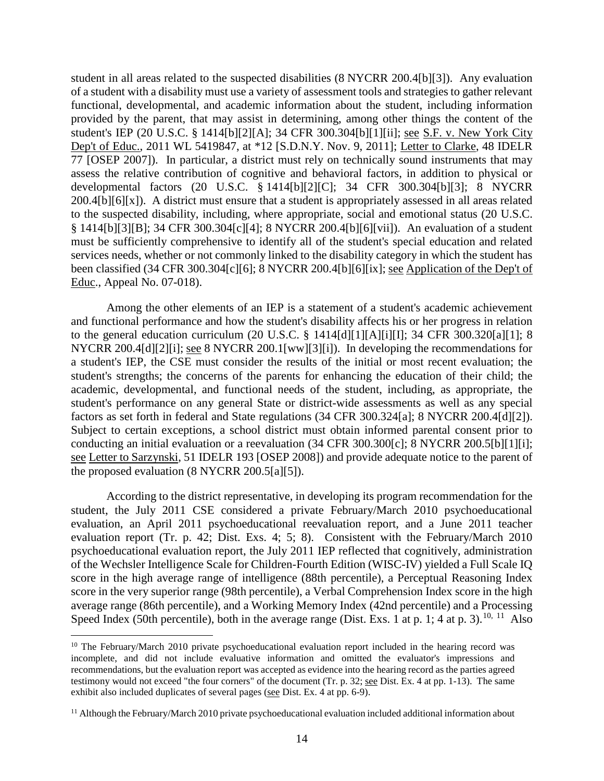student in all areas related to the suspected disabilities (8 NYCRR 200.4[b][3]). Any evaluation of a student with a disability must use a variety of assessment tools and strategies to gather relevant functional, developmental, and academic information about the student, including information provided by the parent, that may assist in determining, among other things the content of the student's IEP (20 U.S.C. § 1414[b][2][A]; 34 CFR 300.304[b][1][ii]; see S.F. v. New York City Dep't of Educ., 2011 WL 5419847, at \*12 [S.D.N.Y. Nov. 9, 2011]; Letter to Clarke, 48 IDELR 77 [OSEP 2007]). In particular, a district must rely on technically sound instruments that may assess the relative contribution of cognitive and behavioral factors, in addition to physical or developmental factors (20 U.S.C. § 1414[b][2][C]; 34 CFR 300.304[b][3]; 8 NYCRR  $200.4[b][6][x]$ . A district must ensure that a student is appropriately assessed in all areas related to the suspected disability, including, where appropriate, social and emotional status (20 U.S.C. § 1414[b][3][B]; 34 CFR 300.304[c][4]; 8 NYCRR 200.4[b][6][vii]). An evaluation of a student must be sufficiently comprehensive to identify all of the student's special education and related services needs, whether or not commonly linked to the disability category in which the student has been classified (34 CFR 300.304[c][6]; 8 NYCRR 200.4[b][6][ix]; see Application of the Dep't of Educ., Appeal No. 07-018).

Among the other elements of an IEP is a statement of a student's academic achievement and functional performance and how the student's disability affects his or her progress in relation to the general education curriculum (20 U.S.C. § 1414[d][1][A][i][I]; 34 CFR 300.320[a][1]; 8 NYCRR 200.4[d][2][i]; see 8 NYCRR 200.1[ww][3][i]). In developing the recommendations for a student's IEP, the CSE must consider the results of the initial or most recent evaluation; the student's strengths; the concerns of the parents for enhancing the education of their child; the academic, developmental, and functional needs of the student, including, as appropriate, the student's performance on any general State or district-wide assessments as well as any special factors as set forth in federal and State regulations (34 CFR 300.324[a]; 8 NYCRR 200.4[d][2]). Subject to certain exceptions, a school district must obtain informed parental consent prior to conducting an initial evaluation or a reevaluation (34 CFR 300.300[c]; 8 NYCRR 200.5[b][1][i]; see Letter to Sarzynski, 51 IDELR 193 [OSEP 2008]) and provide adequate notice to the parent of the proposed evaluation (8 NYCRR 200.5[a][5]).

According to the district representative, in developing its program recommendation for the student, the July 2011 CSE considered a private February/March 2010 psychoeducational evaluation, an April 2011 psychoeducational reevaluation report, and a June 2011 teacher evaluation report (Tr. p. 42; Dist. Exs. 4; 5; 8). Consistent with the February/March 2010 psychoeducational evaluation report, the July 2011 IEP reflected that cognitively, administration of the Wechsler Intelligence Scale for Children-Fourth Edition (WISC-IV) yielded a Full Scale IQ score in the high average range of intelligence (88th percentile), a Perceptual Reasoning Index score in the very superior range (98th percentile), a Verbal Comprehension Index score in the high average range (86th percentile), and a Working Memory Index (42nd percentile) and a Processing Speed Index (50th percentile), both in the average range (Dist. Exs. 1 at p. 1; 4 at p. 3).<sup>10, 11</sup> Also

<sup>&</sup>lt;sup>10</sup> The February/March 2010 private psychoeducational evaluation report included in the hearing record was incomplete, and did not include evaluative information and omitted the evaluator's impressions and recommendations, but the evaluation report was accepted as evidence into the hearing record as the parties agreed testimony would not exceed "the four corners" of the document (Tr. p. 32; see Dist. Ex. 4 at pp. 1-13). The same exhibit also included duplicates of several pages (see Dist. Ex. 4 at pp. 6-9).

<sup>&</sup>lt;sup>11</sup> Although the February/March 2010 private psychoeducational evaluation included additional information about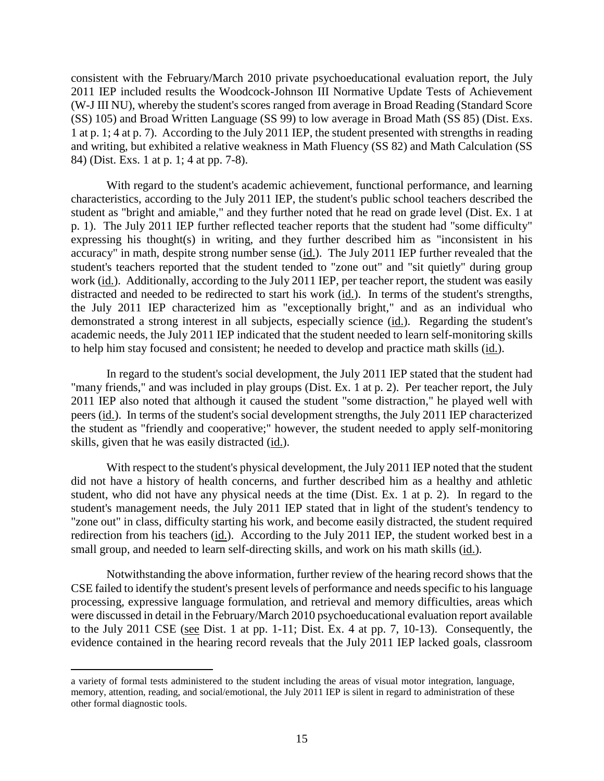consistent with the February/March 2010 private psychoeducational evaluation report, the July 2011 IEP included results the Woodcock-Johnson III Normative Update Tests of Achievement (W-J III NU), whereby the student's scores ranged from average in Broad Reading (Standard Score (SS) 105) and Broad Written Language (SS 99) to low average in Broad Math (SS 85) (Dist. Exs. 1 at p. 1; 4 at p. 7). According to the July 2011 IEP, the student presented with strengths in reading and writing, but exhibited a relative weakness in Math Fluency (SS 82) and Math Calculation (SS 84) (Dist. Exs. 1 at p. 1; 4 at pp. 7-8).

With regard to the student's academic achievement, functional performance, and learning characteristics, according to the July 2011 IEP, the student's public school teachers described the student as "bright and amiable," and they further noted that he read on grade level (Dist. Ex. 1 at p. 1). The July 2011 IEP further reflected teacher reports that the student had "some difficulty" expressing his thought(s) in writing, and they further described him as "inconsistent in his accuracy" in math, despite strong number sense (id.). The July 2011 IEP further revealed that the student's teachers reported that the student tended to "zone out" and "sit quietly" during group work (id.). Additionally, according to the July 2011 IEP, per teacher report, the student was easily distracted and needed to be redirected to start his work (id.). In terms of the student's strengths, the July 2011 IEP characterized him as "exceptionally bright," and as an individual who demonstrated a strong interest in all subjects, especially science (id.). Regarding the student's academic needs, the July 2011 IEP indicated that the student needed to learn self-monitoring skills to help him stay focused and consistent; he needed to develop and practice math skills (id.).

In regard to the student's social development, the July 2011 IEP stated that the student had "many friends," and was included in play groups (Dist. Ex. 1 at p. 2). Per teacher report, the July 2011 IEP also noted that although it caused the student "some distraction," he played well with peers (id.). In terms of the student's social development strengths, the July 2011 IEP characterized the student as "friendly and cooperative;" however, the student needed to apply self-monitoring skills, given that he was easily distracted (id.).

With respect to the student's physical development, the July 2011 IEP noted that the student did not have a history of health concerns, and further described him as a healthy and athletic student, who did not have any physical needs at the time (Dist. Ex. 1 at p. 2). In regard to the student's management needs, the July 2011 IEP stated that in light of the student's tendency to "zone out" in class, difficulty starting his work, and become easily distracted, the student required redirection from his teachers (id.). According to the July 2011 IEP, the student worked best in a small group, and needed to learn self-directing skills, and work on his math skills (id.).

Notwithstanding the above information, further review of the hearing record shows that the CSE failed to identify the student's present levels of performance and needs specific to his language processing, expressive language formulation, and retrieval and memory difficulties, areas which were discussed in detail in the February/March 2010 psychoeducational evaluation report available to the July 2011 CSE (see Dist. 1 at pp. 1-11; Dist. Ex. 4 at pp. 7, 10-13). Consequently, the evidence contained in the hearing record reveals that the July 2011 IEP lacked goals, classroom

a variety of formal tests administered to the student including the areas of visual motor integration, language, memory, attention, reading, and social/emotional, the July 2011 IEP is silent in regard to administration of these other formal diagnostic tools.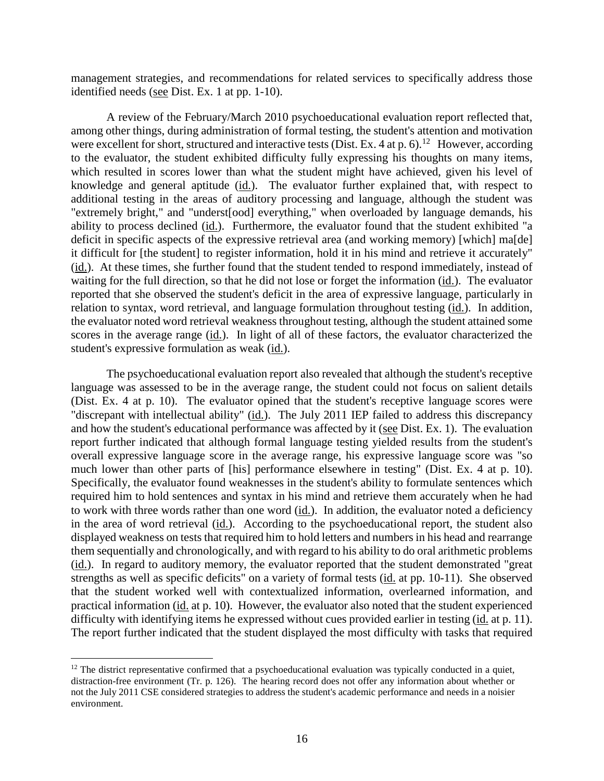management strategies, and recommendations for related services to specifically address those identified needs (see Dist. Ex. 1 at pp. 1-10).

A review of the February/March 2010 psychoeducational evaluation report reflected that, among other things, during administration of formal testing, the student's attention and motivation were excellent for short, structured and interactive tests (Dist. Ex. 4 at p. 6).<sup>12</sup> However, according to the evaluator, the student exhibited difficulty fully expressing his thoughts on many items, which resulted in scores lower than what the student might have achieved, given his level of knowledge and general aptitude (id.). The evaluator further explained that, with respect to additional testing in the areas of auditory processing and language, although the student was "extremely bright," and "underst[ood] everything," when overloaded by language demands, his ability to process declined (id.). Furthermore, the evaluator found that the student exhibited "a deficit in specific aspects of the expressive retrieval area (and working memory) [which] ma[de] it difficult for [the student] to register information, hold it in his mind and retrieve it accurately" (id.). At these times, she further found that the student tended to respond immediately, instead of waiting for the full direction, so that he did not lose or forget the information (id.). The evaluator reported that she observed the student's deficit in the area of expressive language, particularly in relation to syntax, word retrieval, and language formulation throughout testing (id.). In addition, the evaluator noted word retrieval weakness throughout testing, although the student attained some scores in the average range (id.). In light of all of these factors, the evaluator characterized the student's expressive formulation as weak (id.).

The psychoeducational evaluation report also revealed that although the student's receptive language was assessed to be in the average range, the student could not focus on salient details (Dist. Ex. 4 at p. 10). The evaluator opined that the student's receptive language scores were "discrepant with intellectual ability" (id.). The July 2011 IEP failed to address this discrepancy and how the student's educational performance was affected by it (see Dist. Ex. 1). The evaluation report further indicated that although formal language testing yielded results from the student's overall expressive language score in the average range, his expressive language score was "so much lower than other parts of [his] performance elsewhere in testing" (Dist. Ex. 4 at p. 10). Specifically, the evaluator found weaknesses in the student's ability to formulate sentences which required him to hold sentences and syntax in his mind and retrieve them accurately when he had to work with three words rather than one word (id.). In addition, the evaluator noted a deficiency in the area of word retrieval (id.). According to the psychoeducational report, the student also displayed weakness on tests that required him to hold letters and numbers in his head and rearrange them sequentially and chronologically, and with regard to his ability to do oral arithmetic problems (id.). In regard to auditory memory, the evaluator reported that the student demonstrated "great strengths as well as specific deficits" on a variety of formal tests (id. at pp. 10-11). She observed that the student worked well with contextualized information, overlearned information, and practical information (id. at p. 10). However, the evaluator also noted that the student experienced difficulty with identifying items he expressed without cues provided earlier in testing (id. at p. 11). The report further indicated that the student displayed the most difficulty with tasks that required

 $12$  The district representative confirmed that a psychoeducational evaluation was typically conducted in a quiet, distraction-free environment (Tr. p. 126). The hearing record does not offer any information about whether or not the July 2011 CSE considered strategies to address the student's academic performance and needs in a noisier environment.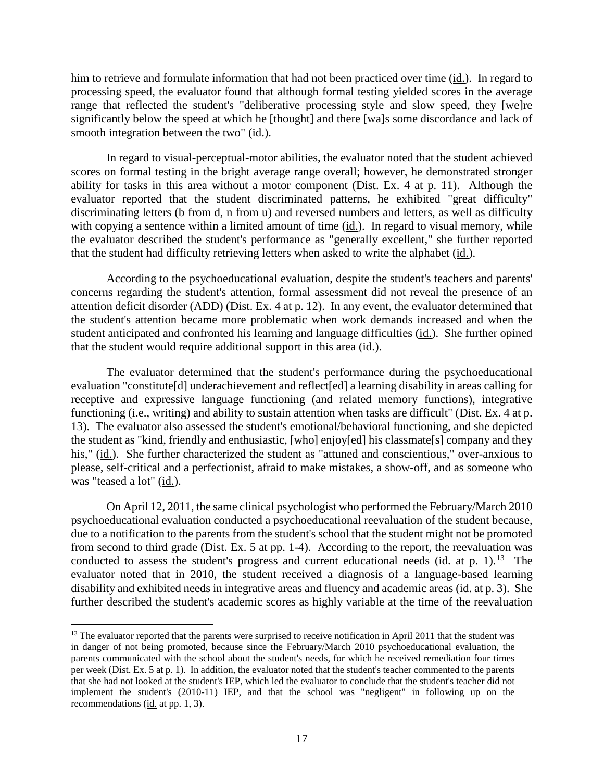him to retrieve and formulate information that had not been practiced over time (id.). In regard to processing speed, the evaluator found that although formal testing yielded scores in the average range that reflected the student's "deliberative processing style and slow speed, they [we]re significantly below the speed at which he [thought] and there [wa]s some discordance and lack of smooth integration between the two" (id.).

In regard to visual-perceptual-motor abilities, the evaluator noted that the student achieved scores on formal testing in the bright average range overall; however, he demonstrated stronger ability for tasks in this area without a motor component (Dist. Ex. 4 at p. 11). Although the evaluator reported that the student discriminated patterns, he exhibited "great difficulty" discriminating letters (b from d, n from u) and reversed numbers and letters, as well as difficulty with copying a sentence within a limited amount of time (id.). In regard to visual memory, while the evaluator described the student's performance as "generally excellent," she further reported that the student had difficulty retrieving letters when asked to write the alphabet (id.).

According to the psychoeducational evaluation, despite the student's teachers and parents' concerns regarding the student's attention, formal assessment did not reveal the presence of an attention deficit disorder (ADD) (Dist. Ex. 4 at p. 12). In any event, the evaluator determined that the student's attention became more problematic when work demands increased and when the student anticipated and confronted his learning and language difficulties (id.). She further opined that the student would require additional support in this area (id.).

The evaluator determined that the student's performance during the psychoeducational evaluation "constitute[d] underachievement and reflect[ed] a learning disability in areas calling for receptive and expressive language functioning (and related memory functions), integrative functioning (i.e., writing) and ability to sustain attention when tasks are difficult" (Dist. Ex. 4 at p. 13). The evaluator also assessed the student's emotional/behavioral functioning, and she depicted the student as "kind, friendly and enthusiastic, [who] enjoy[ed] his classmate[s] company and they his," (id.). She further characterized the student as "attuned and conscientious," over-anxious to please, self-critical and a perfectionist, afraid to make mistakes, a show-off, and as someone who was "teased a lot" (id.).

On April 12, 2011, the same clinical psychologist who performed the February/March 2010 psychoeducational evaluation conducted a psychoeducational reevaluation of the student because, due to a notification to the parents from the student's school that the student might not be promoted from second to third grade (Dist. Ex. 5 at pp. 1-4). According to the report, the reevaluation was conducted to assess the student's progress and current educational needs (id. at p. 1).<sup>13</sup> The evaluator noted that in 2010, the student received a diagnosis of a language-based learning disability and exhibited needs in integrative areas and fluency and academic areas (id. at p. 3). She further described the student's academic scores as highly variable at the time of the reevaluation

<sup>&</sup>lt;sup>13</sup> The evaluator reported that the parents were surprised to receive notification in April 2011 that the student was in danger of not being promoted, because since the February/March 2010 psychoeducational evaluation, the parents communicated with the school about the student's needs, for which he received remediation four times per week (Dist. Ex. 5 at p. 1). In addition, the evaluator noted that the student's teacher commented to the parents that she had not looked at the student's IEP, which led the evaluator to conclude that the student's teacher did not implement the student's (2010-11) IEP, and that the school was "negligent" in following up on the recommendations (id. at pp. 1, 3).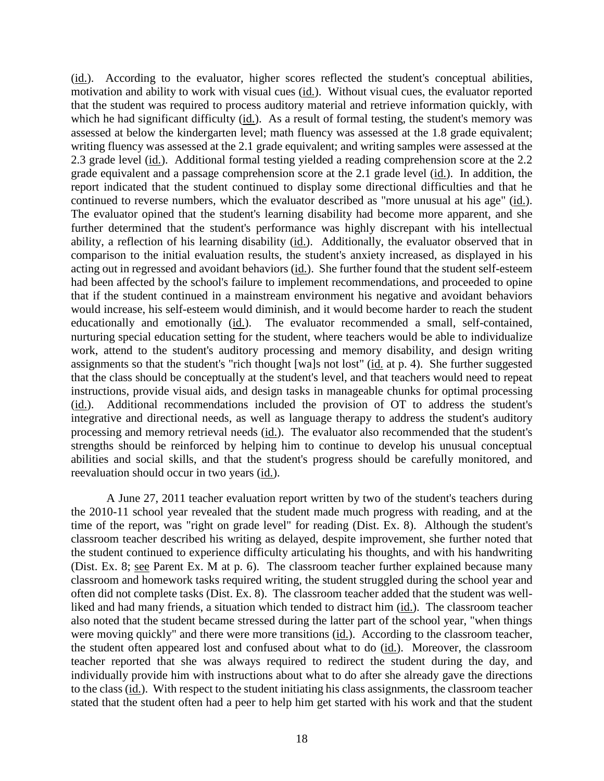(id.). According to the evaluator, higher scores reflected the student's conceptual abilities, motivation and ability to work with visual cues (id.). Without visual cues, the evaluator reported that the student was required to process auditory material and retrieve information quickly, with which he had significant difficulty (id.). As a result of formal testing, the student's memory was assessed at below the kindergarten level; math fluency was assessed at the 1.8 grade equivalent; writing fluency was assessed at the 2.1 grade equivalent; and writing samples were assessed at the 2.3 grade level (id.). Additional formal testing yielded a reading comprehension score at the 2.2 grade equivalent and a passage comprehension score at the 2.1 grade level (id.). In addition, the report indicated that the student continued to display some directional difficulties and that he continued to reverse numbers, which the evaluator described as "more unusual at his age" (id.). The evaluator opined that the student's learning disability had become more apparent, and she further determined that the student's performance was highly discrepant with his intellectual ability, a reflection of his learning disability (id.). Additionally, the evaluator observed that in comparison to the initial evaluation results, the student's anxiety increased, as displayed in his acting out in regressed and avoidant behaviors (id.). She further found that the student self-esteem had been affected by the school's failure to implement recommendations, and proceeded to opine that if the student continued in a mainstream environment his negative and avoidant behaviors would increase, his self-esteem would diminish, and it would become harder to reach the student educationally and emotionally (id.). The evaluator recommended a small, self-contained, nurturing special education setting for the student, where teachers would be able to individualize work, attend to the student's auditory processing and memory disability, and design writing assignments so that the student's "rich thought [wa]s not lost" (id. at p. 4). She further suggested that the class should be conceptually at the student's level, and that teachers would need to repeat instructions, provide visual aids, and design tasks in manageable chunks for optimal processing (id.). Additional recommendations included the provision of OT to address the student's integrative and directional needs, as well as language therapy to address the student's auditory processing and memory retrieval needs (id.). The evaluator also recommended that the student's strengths should be reinforced by helping him to continue to develop his unusual conceptual abilities and social skills, and that the student's progress should be carefully monitored, and reevaluation should occur in two years (id.).

A June 27, 2011 teacher evaluation report written by two of the student's teachers during the 2010-11 school year revealed that the student made much progress with reading, and at the time of the report, was "right on grade level" for reading (Dist. Ex. 8). Although the student's classroom teacher described his writing as delayed, despite improvement, she further noted that the student continued to experience difficulty articulating his thoughts, and with his handwriting (Dist. Ex. 8; see Parent Ex. M at p. 6). The classroom teacher further explained because many classroom and homework tasks required writing, the student struggled during the school year and often did not complete tasks (Dist. Ex. 8). The classroom teacher added that the student was wellliked and had many friends, a situation which tended to distract him (id.). The classroom teacher also noted that the student became stressed during the latter part of the school year, "when things were moving quickly" and there were more transitions (id.). According to the classroom teacher, the student often appeared lost and confused about what to do (id.). Moreover, the classroom teacher reported that she was always required to redirect the student during the day, and individually provide him with instructions about what to do after she already gave the directions to the class (id.). With respect to the student initiating his class assignments, the classroom teacher stated that the student often had a peer to help him get started with his work and that the student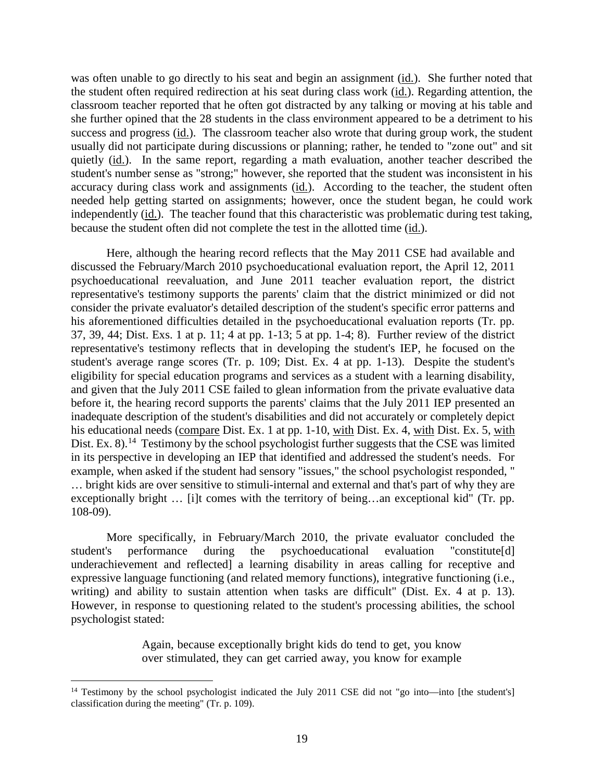was often unable to go directly to his seat and begin an assignment (id.). She further noted that the student often required redirection at his seat during class work (id.). Regarding attention, the classroom teacher reported that he often got distracted by any talking or moving at his table and she further opined that the 28 students in the class environment appeared to be a detriment to his success and progress (id.). The classroom teacher also wrote that during group work, the student usually did not participate during discussions or planning; rather, he tended to "zone out" and sit quietly (id.). In the same report, regarding a math evaluation, another teacher described the student's number sense as "strong;" however, she reported that the student was inconsistent in his accuracy during class work and assignments (id.). According to the teacher, the student often needed help getting started on assignments; however, once the student began, he could work independently (id.). The teacher found that this characteristic was problematic during test taking, because the student often did not complete the test in the allotted time (id.).

Here, although the hearing record reflects that the May 2011 CSE had available and discussed the February/March 2010 psychoeducational evaluation report, the April 12, 2011 psychoeducational reevaluation, and June 2011 teacher evaluation report, the district representative's testimony supports the parents' claim that the district minimized or did not consider the private evaluator's detailed description of the student's specific error patterns and his aforementioned difficulties detailed in the psychoeducational evaluation reports (Tr. pp. 37, 39, 44; Dist. Exs. 1 at p. 11; 4 at pp. 1-13; 5 at pp. 1-4; 8). Further review of the district representative's testimony reflects that in developing the student's IEP, he focused on the student's average range scores (Tr. p. 109; Dist. Ex. 4 at pp. 1-13). Despite the student's eligibility for special education programs and services as a student with a learning disability, and given that the July 2011 CSE failed to glean information from the private evaluative data before it, the hearing record supports the parents' claims that the July 2011 IEP presented an inadequate description of the student's disabilities and did not accurately or completely depict his educational needs (compare Dist. Ex. 1 at pp. 1-10, with Dist. Ex. 4, with Dist. Ex. 5, with Dist. Ex. 8).<sup>14</sup> Testimony by the school psychologist further suggests that the CSE was limited in its perspective in developing an IEP that identified and addressed the student's needs. For example, when asked if the student had sensory "issues," the school psychologist responded, " … bright kids are over sensitive to stimuli-internal and external and that's part of why they are exceptionally bright … [i]t comes with the territory of being…an exceptional kid" (Tr. pp. 108-09).

More specifically, in February/March 2010, the private evaluator concluded the student's performance during the psychoeducational evaluation "constitute[d] underachievement and reflected] a learning disability in areas calling for receptive and expressive language functioning (and related memory functions), integrative functioning (i.e., writing) and ability to sustain attention when tasks are difficult" (Dist. Ex. 4 at p. 13). However, in response to questioning related to the student's processing abilities, the school psychologist stated:

> Again, because exceptionally bright kids do tend to get, you know over stimulated, they can get carried away, you know for example

<sup>&</sup>lt;sup>14</sup> Testimony by the school psychologist indicated the July 2011 CSE did not "go into—into [the student's] classification during the meeting" (Tr. p. 109).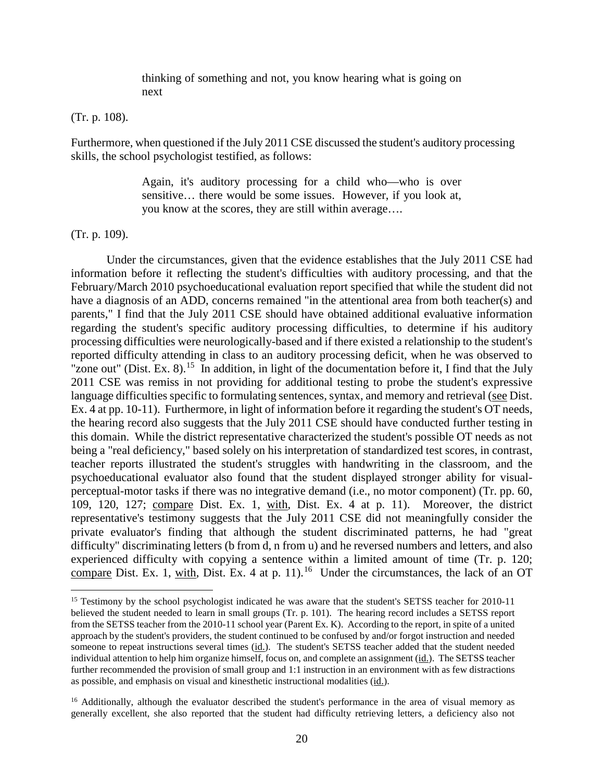thinking of something and not, you know hearing what is going on next

#### (Tr. p. 108).

Furthermore, when questioned if the July 2011 CSE discussed the student's auditory processing skills, the school psychologist testified, as follows:

> Again, it's auditory processing for a child who—who is over sensitive… there would be some issues. However, if you look at, you know at the scores, they are still within average….

#### (Tr. p. 109).

Under the circumstances, given that the evidence establishes that the July 2011 CSE had information before it reflecting the student's difficulties with auditory processing, and that the February/March 2010 psychoeducational evaluation report specified that while the student did not have a diagnosis of an ADD, concerns remained "in the attentional area from both teacher(s) and parents," I find that the July 2011 CSE should have obtained additional evaluative information regarding the student's specific auditory processing difficulties, to determine if his auditory processing difficulties were neurologically-based and if there existed a relationship to the student's reported difficulty attending in class to an auditory processing deficit, when he was observed to "zone out" (Dist. Ex. 8).<sup>15</sup> In addition, in light of the documentation before it, I find that the July 2011 CSE was remiss in not providing for additional testing to probe the student's expressive language difficulties specific to formulating sentences, syntax, and memory and retrieval (see Dist. Ex. 4 at pp. 10-11). Furthermore, in light of information before it regarding the student's OT needs, the hearing record also suggests that the July 2011 CSE should have conducted further testing in this domain. While the district representative characterized the student's possible OT needs as not being a "real deficiency," based solely on his interpretation of standardized test scores, in contrast, teacher reports illustrated the student's struggles with handwriting in the classroom, and the psychoeducational evaluator also found that the student displayed stronger ability for visualperceptual-motor tasks if there was no integrative demand (i.e., no motor component) (Tr. pp. 60, 109, 120, 127; compare Dist. Ex. 1, with, Dist. Ex. 4 at p. 11). Moreover, the district representative's testimony suggests that the July 2011 CSE did not meaningfully consider the private evaluator's finding that although the student discriminated patterns, he had "great difficulty" discriminating letters (b from d, n from u) and he reversed numbers and letters, and also experienced difficulty with copying a sentence within a limited amount of time (Tr. p. 120; compare Dist. Ex. 1, with, Dist. Ex. 4 at p. 11).<sup>16</sup> Under the circumstances, the lack of an OT

<sup>&</sup>lt;sup>15</sup> Testimony by the school psychologist indicated he was aware that the student's SETSS teacher for 2010-11 believed the student needed to learn in small groups (Tr. p. 101). The hearing record includes a SETSS report from the SETSS teacher from the 2010-11 school year (Parent Ex. K). According to the report, in spite of a united approach by the student's providers, the student continued to be confused by and/or forgot instruction and needed someone to repeat instructions several times (id.). The student's SETSS teacher added that the student needed individual attention to help him organize himself, focus on, and complete an assignment (id.). The SETSS teacher further recommended the provision of small group and 1:1 instruction in an environment with as few distractions as possible, and emphasis on visual and kinesthetic instructional modalities (id.).

<sup>&</sup>lt;sup>16</sup> Additionally, although the evaluator described the student's performance in the area of visual memory as generally excellent, she also reported that the student had difficulty retrieving letters, a deficiency also not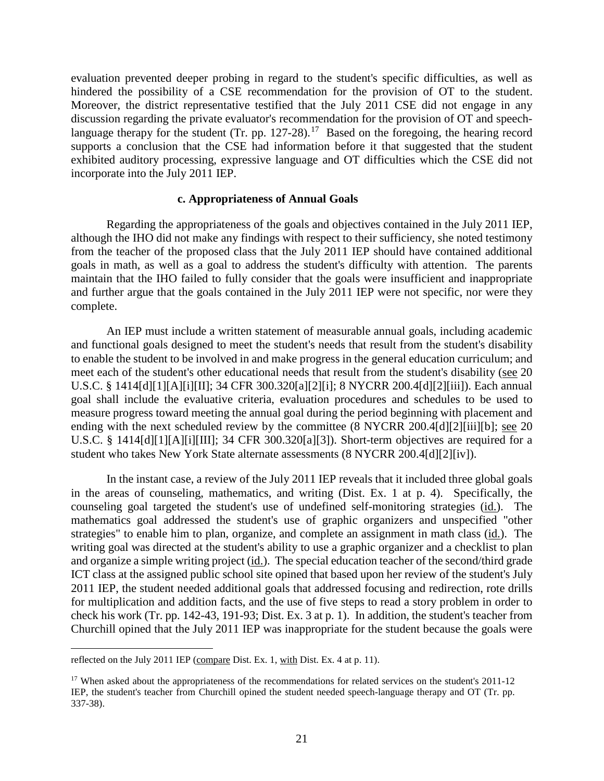evaluation prevented deeper probing in regard to the student's specific difficulties, as well as hindered the possibility of a CSE recommendation for the provision of OT to the student. Moreover, the district representative testified that the July 2011 CSE did not engage in any discussion regarding the private evaluator's recommendation for the provision of OT and speechlanguage therapy for the student (Tr. pp.  $127-28$ ).<sup>17</sup> Based on the foregoing, the hearing record supports a conclusion that the CSE had information before it that suggested that the student exhibited auditory processing, expressive language and OT difficulties which the CSE did not incorporate into the July 2011 IEP.

#### **c. Appropriateness of Annual Goals**

Regarding the appropriateness of the goals and objectives contained in the July 2011 IEP, although the IHO did not make any findings with respect to their sufficiency, she noted testimony from the teacher of the proposed class that the July 2011 IEP should have contained additional goals in math, as well as a goal to address the student's difficulty with attention. The parents maintain that the IHO failed to fully consider that the goals were insufficient and inappropriate and further argue that the goals contained in the July 2011 IEP were not specific, nor were they complete.

An IEP must include a written statement of measurable annual goals, including academic and functional goals designed to meet the student's needs that result from the student's disability to enable the student to be involved in and make progress in the general education curriculum; and meet each of the student's other educational needs that result from the student's disability (see 20 U.S.C. § 1414[d][1][A][i][II]; 34 CFR 300.320[a][2][i]; 8 NYCRR 200.4[d][2][iii]). Each annual goal shall include the evaluative criteria, evaluation procedures and schedules to be used to measure progress toward meeting the annual goal during the period beginning with placement and ending with the next scheduled review by the committee (8 NYCRR 200.4[d][2][iii][b]; see 20 U.S.C. § 1414[d][1][A][i][III]; 34 CFR 300.320[a][3]). Short-term objectives are required for a student who takes New York State alternate assessments (8 NYCRR 200.4[d][2][iv]).

In the instant case, a review of the July 2011 IEP reveals that it included three global goals in the areas of counseling, mathematics, and writing (Dist. Ex. 1 at p. 4). Specifically, the counseling goal targeted the student's use of undefined self-monitoring strategies (id.). The mathematics goal addressed the student's use of graphic organizers and unspecified "other strategies" to enable him to plan, organize, and complete an assignment in math class (id.). The writing goal was directed at the student's ability to use a graphic organizer and a checklist to plan and organize a simple writing project (id.). The special education teacher of the second/third grade ICT class at the assigned public school site opined that based upon her review of the student's July 2011 IEP, the student needed additional goals that addressed focusing and redirection, rote drills for multiplication and addition facts, and the use of five steps to read a story problem in order to check his work (Tr. pp. 142-43, 191-93; Dist. Ex. 3 at p. 1). In addition, the student's teacher from Churchill opined that the July 2011 IEP was inappropriate for the student because the goals were

reflected on the July 2011 IEP (compare Dist. Ex. 1, with Dist. Ex. 4 at p. 11).

<sup>&</sup>lt;sup>17</sup> When asked about the appropriateness of the recommendations for related services on the student's 2011-12 IEP, the student's teacher from Churchill opined the student needed speech-language therapy and OT (Tr. pp. 337-38).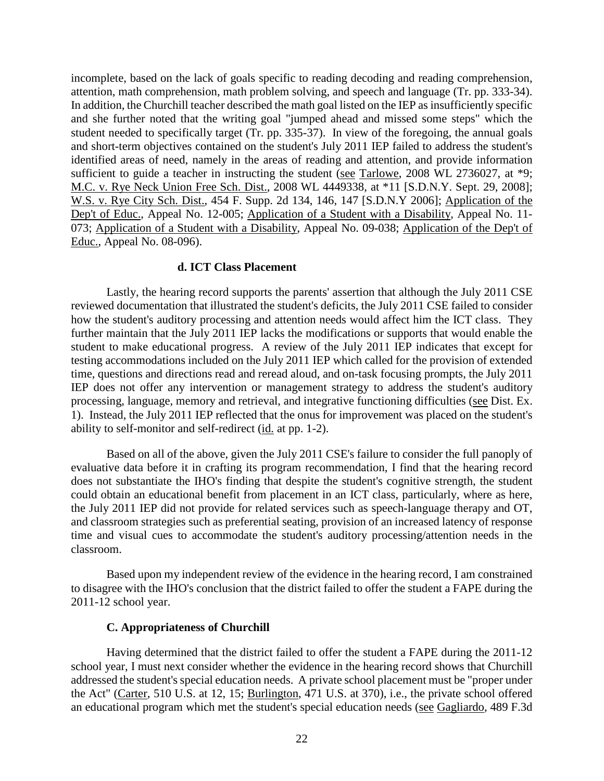incomplete, based on the lack of goals specific to reading decoding and reading comprehension, attention, math comprehension, math problem solving, and speech and language (Tr. pp. 333-34). In addition, the Churchill teacher described the math goal listed on the IEP as insufficiently specific and she further noted that the writing goal "jumped ahead and missed some steps" which the student needed to specifically target (Tr. pp. 335-37). In view of the foregoing, the annual goals and short-term objectives contained on the student's July 2011 IEP failed to address the student's identified areas of need, namely in the areas of reading and attention, and provide information sufficient to guide a teacher in instructing the student (see Tarlowe, 2008 WL 2736027, at \*9; M.C. v. Rye Neck Union Free Sch. Dist., 2008 WL 4449338, at \*11 [S.D.N.Y. Sept. 29, 2008]; W.S. v. Rye City Sch. Dist., 454 F. Supp. 2d 134, 146, 147 [S.D.N.Y 2006]; Application of the Dep't of Educ., Appeal No. 12-005; Application of a Student with a Disability, Appeal No. 11-073; Application of a Student with a Disability, Appeal No. 09-038; Application of the Dep't of Educ., Appeal No. 08-096).

## **d. ICT Class Placement**

Lastly, the hearing record supports the parents' assertion that although the July 2011 CSE reviewed documentation that illustrated the student's deficits, the July 2011 CSE failed to consider how the student's auditory processing and attention needs would affect him the ICT class. They further maintain that the July 2011 IEP lacks the modifications or supports that would enable the student to make educational progress. A review of the July 2011 IEP indicates that except for testing accommodations included on the July 2011 IEP which called for the provision of extended time, questions and directions read and reread aloud, and on-task focusing prompts, the July 2011 IEP does not offer any intervention or management strategy to address the student's auditory processing, language, memory and retrieval, and integrative functioning difficulties (see Dist. Ex. 1). Instead, the July 2011 IEP reflected that the onus for improvement was placed on the student's ability to self-monitor and self-redirect (id. at pp. 1-2).

Based on all of the above, given the July 2011 CSE's failure to consider the full panoply of evaluative data before it in crafting its program recommendation, I find that the hearing record does not substantiate the IHO's finding that despite the student's cognitive strength, the student could obtain an educational benefit from placement in an ICT class, particularly, where as here, the July 2011 IEP did not provide for related services such as speech-language therapy and OT, and classroom strategies such as preferential seating, provision of an increased latency of response time and visual cues to accommodate the student's auditory processing/attention needs in the classroom.

Based upon my independent review of the evidence in the hearing record, I am constrained to disagree with the IHO's conclusion that the district failed to offer the student a FAPE during the 2011-12 school year.

#### **C. Appropriateness of Churchill**

Having determined that the district failed to offer the student a FAPE during the 2011-12 school year, I must next consider whether the evidence in the hearing record shows that Churchill addressed the student's special education needs. A private school placement must be "proper under the Act" (Carter, 510 U.S. at 12, 15; Burlington, 471 U.S. at 370), i.e., the private school offered an educational program which met the student's special education needs (see Gagliardo, 489 F.3d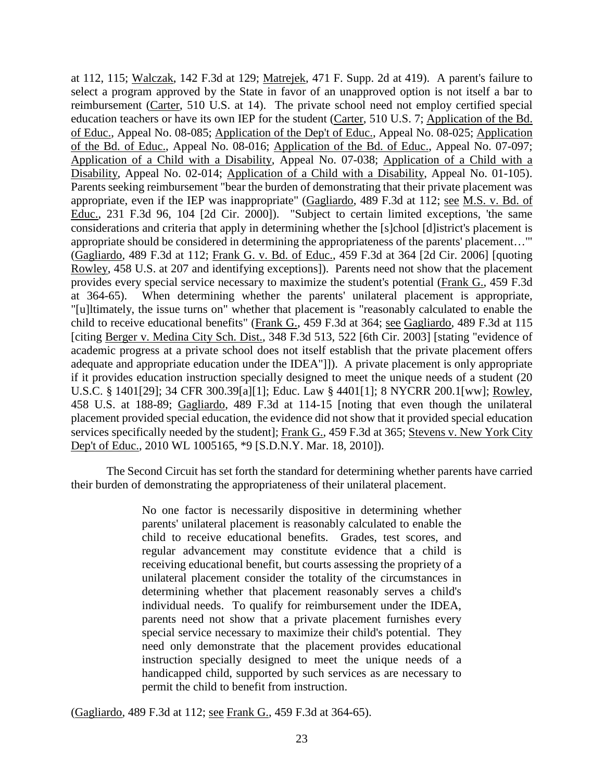at 112, 115; Walczak, 142 F.3d at 129; Matrejek, 471 F. Supp. 2d at 419). A parent's failure to select a program approved by the State in favor of an unapproved option is not itself a bar to reimbursement (Carter, 510 U.S. at 14). The private school need not employ certified special education teachers or have its own IEP for the student (Carter, 510 U.S. 7; Application of the Bd. of Educ., Appeal No. 08-085; Application of the Dep't of Educ., Appeal No. 08-025; Application of the Bd. of Educ., Appeal No. 08-016; Application of the Bd. of Educ., Appeal No. 07-097; Application of a Child with a Disability, Appeal No. 07-038; Application of a Child with a Disability, Appeal No. 02-014; Application of a Child with a Disability, Appeal No. 01-105). Parents seeking reimbursement "bear the burden of demonstrating that their private placement was appropriate, even if the IEP was inappropriate" (Gagliardo, 489 F.3d at 112; see M.S. v. Bd. of Educ., 231 F.3d 96, 104 [2d Cir. 2000]). "Subject to certain limited exceptions, 'the same considerations and criteria that apply in determining whether the [s]chool [d]istrict's placement is appropriate should be considered in determining the appropriateness of the parents' placement…'" (Gagliardo, 489 F.3d at 112; Frank G. v. Bd. of Educ., 459 F.3d at 364 [2d Cir. 2006] [quoting Rowley, 458 U.S. at 207 and identifying exceptions]). Parents need not show that the placement provides every special service necessary to maximize the student's potential (Frank G., 459 F.3d at 364-65). When determining whether the parents' unilateral placement is appropriate, "[u]ltimately, the issue turns on" whether that placement is "reasonably calculated to enable the child to receive educational benefits" (Frank G., 459 F.3d at 364; see Gagliardo, 489 F.3d at 115 [citing Berger v. Medina City Sch. Dist., 348 F.3d 513, 522 [6th Cir. 2003] [stating "evidence of academic progress at a private school does not itself establish that the private placement offers adequate and appropriate education under the IDEA"]]). A private placement is only appropriate if it provides education instruction specially designed to meet the unique needs of a student (20 U.S.C. § 1401[29]; 34 CFR 300.39[a][1]; Educ. Law § 4401[1]; 8 NYCRR 200.1[ww]; Rowley, 458 U.S. at 188-89; Gagliardo, 489 F.3d at 114-15 [noting that even though the unilateral placement provided special education, the evidence did not show that it provided special education services specifically needed by the student]; Frank G., 459 F.3d at 365; Stevens v. New York City Dep't of Educ., 2010 WL 1005165, \*9 [S.D.N.Y. Mar. 18, 2010]).

The Second Circuit has set forth the standard for determining whether parents have carried their burden of demonstrating the appropriateness of their unilateral placement.

> No one factor is necessarily dispositive in determining whether parents' unilateral placement is reasonably calculated to enable the child to receive educational benefits. Grades, test scores, and regular advancement may constitute evidence that a child is receiving educational benefit, but courts assessing the propriety of a unilateral placement consider the totality of the circumstances in determining whether that placement reasonably serves a child's individual needs. To qualify for reimbursement under the IDEA, parents need not show that a private placement furnishes every special service necessary to maximize their child's potential. They need only demonstrate that the placement provides educational instruction specially designed to meet the unique needs of a handicapped child, supported by such services as are necessary to permit the child to benefit from instruction.

(Gagliardo, 489 F.3d at 112; see Frank G., 459 F.3d at 364-65).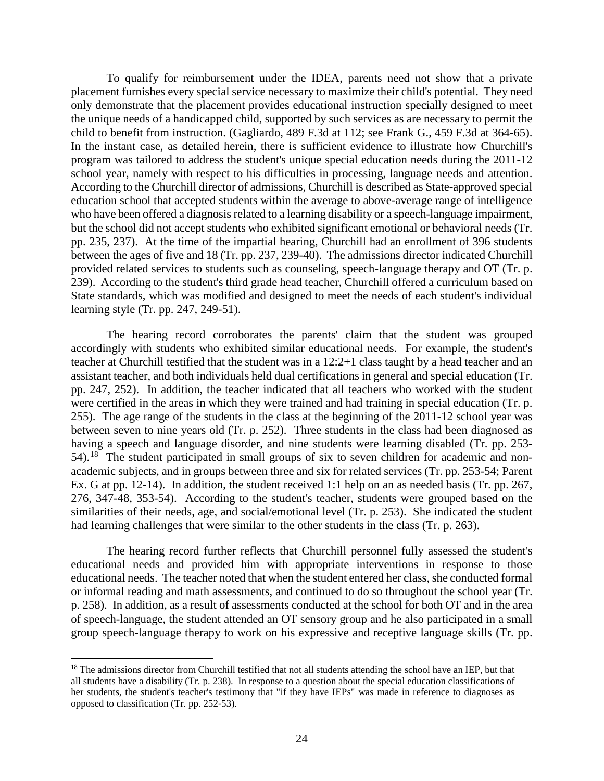To qualify for reimbursement under the IDEA, parents need not show that a private placement furnishes every special service necessary to maximize their child's potential. They need only demonstrate that the placement provides educational instruction specially designed to meet the unique needs of a handicapped child, supported by such services as are necessary to permit the child to benefit from instruction. (Gagliardo, 489 F.3d at 112; see Frank G., 459 F.3d at 364-65). In the instant case, as detailed herein, there is sufficient evidence to illustrate how Churchill's program was tailored to address the student's unique special education needs during the 2011-12 school year, namely with respect to his difficulties in processing, language needs and attention. According to the Churchill director of admissions, Churchill is described as State-approved special education school that accepted students within the average to above-average range of intelligence who have been offered a diagnosis related to a learning disability or a speech-language impairment, but the school did not accept students who exhibited significant emotional or behavioral needs (Tr. pp. 235, 237). At the time of the impartial hearing, Churchill had an enrollment of 396 students between the ages of five and 18 (Tr. pp. 237, 239-40). The admissions director indicated Churchill provided related services to students such as counseling, speech-language therapy and OT (Tr. p. 239). According to the student's third grade head teacher, Churchill offered a curriculum based on State standards, which was modified and designed to meet the needs of each student's individual learning style (Tr. pp. 247, 249-51).

The hearing record corroborates the parents' claim that the student was grouped accordingly with students who exhibited similar educational needs. For example, the student's teacher at Churchill testified that the student was in a 12:2+1 class taught by a head teacher and an assistant teacher, and both individuals held dual certifications in general and special education (Tr. pp. 247, 252). In addition, the teacher indicated that all teachers who worked with the student were certified in the areas in which they were trained and had training in special education (Tr. p. 255). The age range of the students in the class at the beginning of the 2011-12 school year was between seven to nine years old (Tr. p. 252). Three students in the class had been diagnosed as having a speech and language disorder, and nine students were learning disabled (Tr. pp. 253- 54).18 The student participated in small groups of six to seven children for academic and nonacademic subjects, and in groups between three and six for related services (Tr. pp. 253-54; Parent Ex. G at pp. 12-14). In addition, the student received 1:1 help on an as needed basis (Tr. pp. 267, 276, 347-48, 353-54). According to the student's teacher, students were grouped based on the similarities of their needs, age, and social/emotional level (Tr. p. 253). She indicated the student had learning challenges that were similar to the other students in the class (Tr. p. 263).

The hearing record further reflects that Churchill personnel fully assessed the student's educational needs and provided him with appropriate interventions in response to those educational needs. The teacher noted that when the student entered her class, she conducted formal or informal reading and math assessments, and continued to do so throughout the school year (Tr. p. 258). In addition, as a result of assessments conducted at the school for both OT and in the area of speech-language, the student attended an OT sensory group and he also participated in a small group speech-language therapy to work on his expressive and receptive language skills (Tr. pp.

<sup>&</sup>lt;sup>18</sup> The admissions director from Churchill testified that not all students attending the school have an IEP, but that all students have a disability (Tr. p. 238). In response to a question about the special education classifications of her students, the student's teacher's testimony that "if they have IEPs" was made in reference to diagnoses as opposed to classification (Tr. pp. 252-53).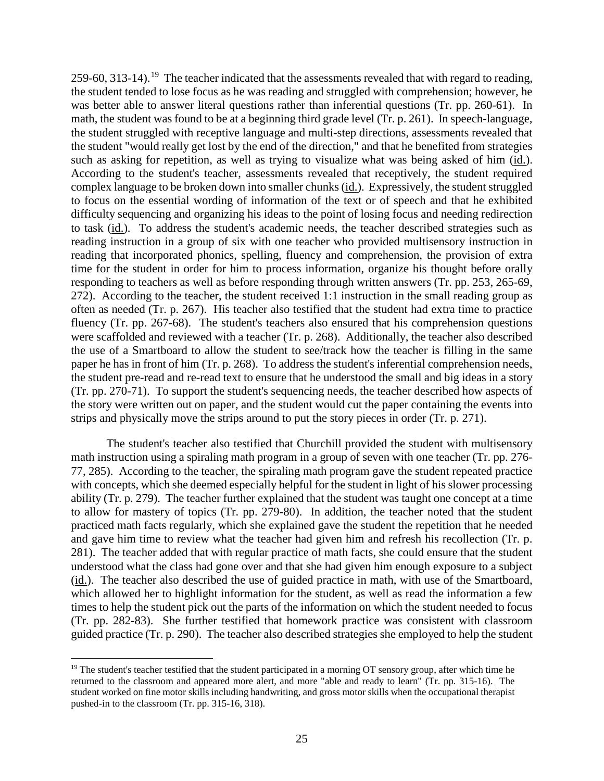259-60, 313-14).<sup>19</sup> The teacher indicated that the assessments revealed that with regard to reading, the student tended to lose focus as he was reading and struggled with comprehension; however, he was better able to answer literal questions rather than inferential questions (Tr. pp. 260-61). In math, the student was found to be at a beginning third grade level (Tr. p. 261). In speech-language, the student struggled with receptive language and multi-step directions, assessments revealed that the student "would really get lost by the end of the direction," and that he benefited from strategies such as asking for repetition, as well as trying to visualize what was being asked of him (id.). According to the student's teacher, assessments revealed that receptively, the student required complex language to be broken down into smaller chunks (id.). Expressively, the student struggled to focus on the essential wording of information of the text or of speech and that he exhibited difficulty sequencing and organizing his ideas to the point of losing focus and needing redirection to task (id.). To address the student's academic needs, the teacher described strategies such as reading instruction in a group of six with one teacher who provided multisensory instruction in reading that incorporated phonics, spelling, fluency and comprehension, the provision of extra time for the student in order for him to process information, organize his thought before orally responding to teachers as well as before responding through written answers (Tr. pp. 253, 265-69, 272). According to the teacher, the student received 1:1 instruction in the small reading group as often as needed (Tr. p. 267). His teacher also testified that the student had extra time to practice fluency (Tr. pp. 267-68). The student's teachers also ensured that his comprehension questions were scaffolded and reviewed with a teacher (Tr. p. 268). Additionally, the teacher also described the use of a Smartboard to allow the student to see/track how the teacher is filling in the same paper he has in front of him (Tr. p. 268). To address the student's inferential comprehension needs, the student pre-read and re-read text to ensure that he understood the small and big ideas in a story (Tr. pp. 270-71). To support the student's sequencing needs, the teacher described how aspects of the story were written out on paper, and the student would cut the paper containing the events into strips and physically move the strips around to put the story pieces in order (Tr. p. 271).

The student's teacher also testified that Churchill provided the student with multisensory math instruction using a spiraling math program in a group of seven with one teacher (Tr. pp. 276- 77, 285). According to the teacher, the spiraling math program gave the student repeated practice with concepts, which she deemed especially helpful for the student in light of his slower processing ability (Tr. p. 279). The teacher further explained that the student was taught one concept at a time to allow for mastery of topics (Tr. pp. 279-80). In addition, the teacher noted that the student practiced math facts regularly, which she explained gave the student the repetition that he needed and gave him time to review what the teacher had given him and refresh his recollection (Tr. p. 281). The teacher added that with regular practice of math facts, she could ensure that the student understood what the class had gone over and that she had given him enough exposure to a subject (id.). The teacher also described the use of guided practice in math, with use of the Smartboard, which allowed her to highlight information for the student, as well as read the information a few times to help the student pick out the parts of the information on which the student needed to focus (Tr. pp. 282-83). She further testified that homework practice was consistent with classroom guided practice (Tr. p. 290). The teacher also described strategies she employed to help the student

<sup>&</sup>lt;sup>19</sup> The student's teacher testified that the student participated in a morning OT sensory group, after which time he returned to the classroom and appeared more alert, and more "able and ready to learn" (Tr. pp. 315-16). The student worked on fine motor skills including handwriting, and gross motor skills when the occupational therapist pushed-in to the classroom (Tr. pp. 315-16, 318).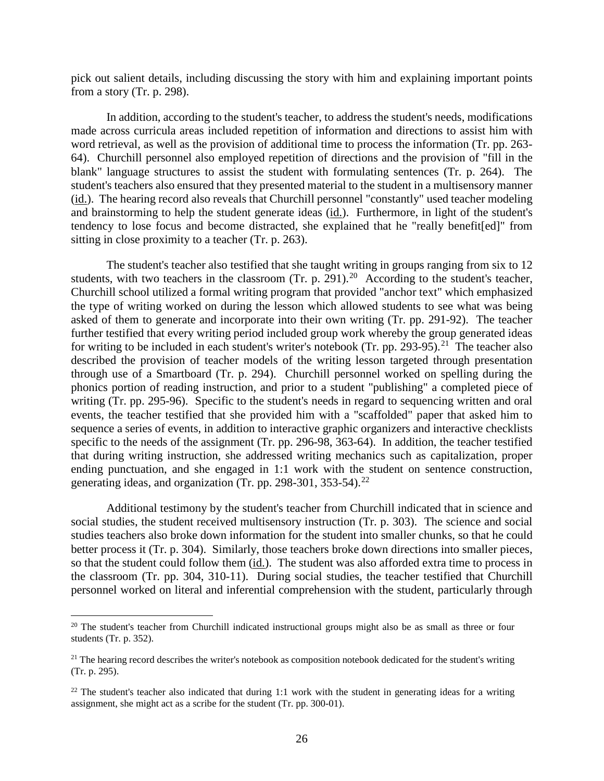pick out salient details, including discussing the story with him and explaining important points from a story (Tr. p. 298).

In addition, according to the student's teacher, to address the student's needs, modifications made across curricula areas included repetition of information and directions to assist him with word retrieval, as well as the provision of additional time to process the information (Tr. pp. 263- 64). Churchill personnel also employed repetition of directions and the provision of "fill in the blank" language structures to assist the student with formulating sentences (Tr. p. 264). The student's teachers also ensured that they presented material to the student in a multisensory manner (id.). The hearing record also reveals that Churchill personnel "constantly" used teacher modeling and brainstorming to help the student generate ideas (id.). Furthermore, in light of the student's tendency to lose focus and become distracted, she explained that he "really benefit[ed]" from sitting in close proximity to a teacher (Tr. p. 263).

The student's teacher also testified that she taught writing in groups ranging from six to 12 students, with two teachers in the classroom (Tr. p. 291).<sup>20</sup> According to the student's teacher, Churchill school utilized a formal writing program that provided "anchor text" which emphasized the type of writing worked on during the lesson which allowed students to see what was being asked of them to generate and incorporate into their own writing (Tr. pp. 291-92). The teacher further testified that every writing period included group work whereby the group generated ideas for writing to be included in each student's writer's notebook (Tr. pp. 293-95).<sup>21</sup> The teacher also described the provision of teacher models of the writing lesson targeted through presentation through use of a Smartboard (Tr. p. 294). Churchill personnel worked on spelling during the phonics portion of reading instruction, and prior to a student "publishing" a completed piece of writing (Tr. pp. 295-96). Specific to the student's needs in regard to sequencing written and oral events, the teacher testified that she provided him with a "scaffolded" paper that asked him to sequence a series of events, in addition to interactive graphic organizers and interactive checklists specific to the needs of the assignment (Tr. pp. 296-98, 363-64). In addition, the teacher testified that during writing instruction, she addressed writing mechanics such as capitalization, proper ending punctuation, and she engaged in 1:1 work with the student on sentence construction, generating ideas, and organization (Tr. pp. 298-301, 353-54). $^{22}$ 

Additional testimony by the student's teacher from Churchill indicated that in science and social studies, the student received multisensory instruction (Tr. p. 303). The science and social studies teachers also broke down information for the student into smaller chunks, so that he could better process it (Tr. p. 304). Similarly, those teachers broke down directions into smaller pieces, so that the student could follow them (id.). The student was also afforded extra time to process in the classroom (Tr. pp. 304, 310-11). During social studies, the teacher testified that Churchill personnel worked on literal and inferential comprehension with the student, particularly through

<sup>&</sup>lt;sup>20</sup> The student's teacher from Churchill indicated instructional groups might also be as small as three or four students (Tr. p. 352).

 $2<sup>1</sup>$  The hearing record describes the writer's notebook as composition notebook dedicated for the student's writing (Tr. p. 295).

 $^{22}$  The student's teacher also indicated that during 1:1 work with the student in generating ideas for a writing assignment, she might act as a scribe for the student (Tr. pp. 300-01).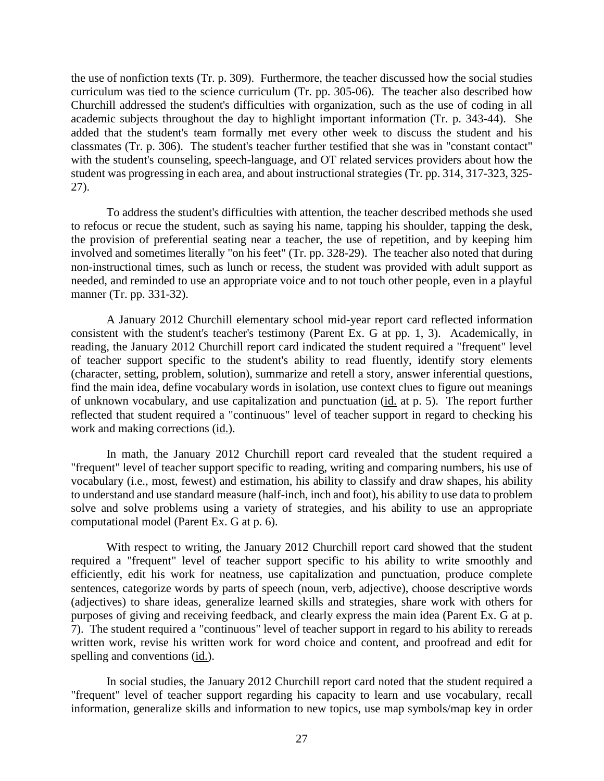the use of nonfiction texts (Tr. p. 309). Furthermore, the teacher discussed how the social studies curriculum was tied to the science curriculum (Tr. pp. 305-06). The teacher also described how Churchill addressed the student's difficulties with organization, such as the use of coding in all academic subjects throughout the day to highlight important information (Tr. p. 343-44). She added that the student's team formally met every other week to discuss the student and his classmates (Tr. p. 306). The student's teacher further testified that she was in "constant contact" with the student's counseling, speech-language, and OT related services providers about how the student was progressing in each area, and about instructional strategies (Tr. pp. 314, 317-323, 325- 27).

To address the student's difficulties with attention, the teacher described methods she used to refocus or recue the student, such as saying his name, tapping his shoulder, tapping the desk, the provision of preferential seating near a teacher, the use of repetition, and by keeping him involved and sometimes literally "on his feet" (Tr. pp. 328-29). The teacher also noted that during non-instructional times, such as lunch or recess, the student was provided with adult support as needed, and reminded to use an appropriate voice and to not touch other people, even in a playful manner (Tr. pp. 331-32).

A January 2012 Churchill elementary school mid-year report card reflected information consistent with the student's teacher's testimony (Parent Ex. G at pp. 1, 3). Academically, in reading, the January 2012 Churchill report card indicated the student required a "frequent" level of teacher support specific to the student's ability to read fluently, identify story elements (character, setting, problem, solution), summarize and retell a story, answer inferential questions, find the main idea, define vocabulary words in isolation, use context clues to figure out meanings of unknown vocabulary, and use capitalization and punctuation (id. at p. 5). The report further reflected that student required a "continuous" level of teacher support in regard to checking his work and making corrections (id.).

In math, the January 2012 Churchill report card revealed that the student required a "frequent" level of teacher support specific to reading, writing and comparing numbers, his use of vocabulary (i.e., most, fewest) and estimation, his ability to classify and draw shapes, his ability to understand and use standard measure (half-inch, inch and foot), his ability to use data to problem solve and solve problems using a variety of strategies, and his ability to use an appropriate computational model (Parent Ex. G at p. 6).

With respect to writing, the January 2012 Churchill report card showed that the student required a "frequent" level of teacher support specific to his ability to write smoothly and efficiently, edit his work for neatness, use capitalization and punctuation, produce complete sentences, categorize words by parts of speech (noun, verb, adjective), choose descriptive words (adjectives) to share ideas, generalize learned skills and strategies, share work with others for purposes of giving and receiving feedback, and clearly express the main idea (Parent Ex. G at p. 7). The student required a "continuous" level of teacher support in regard to his ability to rereads written work, revise his written work for word choice and content, and proofread and edit for spelling and conventions (id.).

In social studies, the January 2012 Churchill report card noted that the student required a "frequent" level of teacher support regarding his capacity to learn and use vocabulary, recall information, generalize skills and information to new topics, use map symbols/map key in order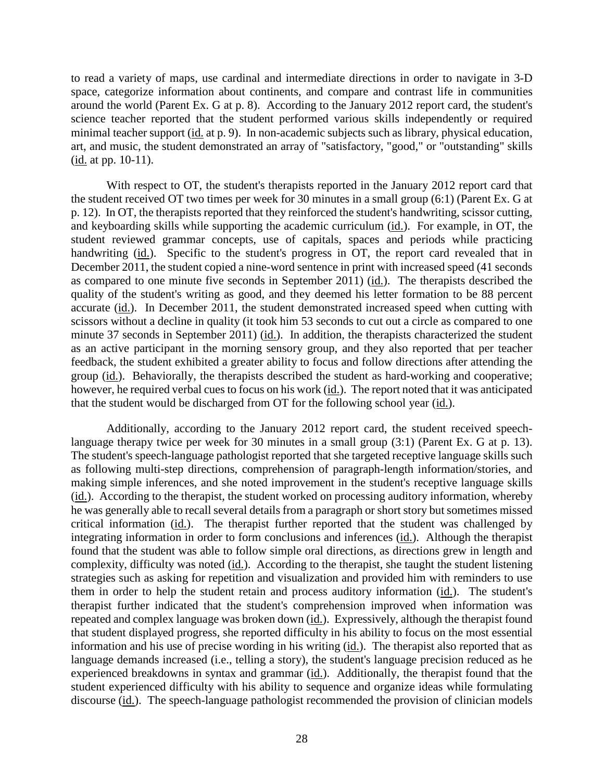to read a variety of maps, use cardinal and intermediate directions in order to navigate in 3-D space, categorize information about continents, and compare and contrast life in communities around the world (Parent Ex. G at p. 8). According to the January 2012 report card, the student's science teacher reported that the student performed various skills independently or required minimal teacher support (id. at p. 9). In non-academic subjects such as library, physical education, art, and music, the student demonstrated an array of "satisfactory, "good," or "outstanding" skills (id. at pp. 10-11).

With respect to OT, the student's therapists reported in the January 2012 report card that the student received OT two times per week for 30 minutes in a small group (6:1) (Parent Ex. G at p. 12). In OT, the therapists reported that they reinforced the student's handwriting, scissor cutting, and keyboarding skills while supporting the academic curriculum (id.). For example, in OT, the student reviewed grammar concepts, use of capitals, spaces and periods while practicing handwriting (id.). Specific to the student's progress in OT, the report card revealed that in December 2011, the student copied a nine-word sentence in print with increased speed (41 seconds as compared to one minute five seconds in September 2011) ( $\underline{\text{id}}$ .). The therapists described the quality of the student's writing as good, and they deemed his letter formation to be 88 percent accurate (id.). In December 2011, the student demonstrated increased speed when cutting with scissors without a decline in quality (it took him 53 seconds to cut out a circle as compared to one minute 37 seconds in September 2011) (id.). In addition, the therapists characterized the student as an active participant in the morning sensory group, and they also reported that per teacher feedback, the student exhibited a greater ability to focus and follow directions after attending the group (id.). Behaviorally, the therapists described the student as hard-working and cooperative; however, he required verbal cues to focus on his work (id.). The report noted that it was anticipated that the student would be discharged from OT for the following school year (id.).

Additionally, according to the January 2012 report card, the student received speechlanguage therapy twice per week for 30 minutes in a small group (3:1) (Parent Ex. G at p. 13). The student's speech-language pathologist reported that she targeted receptive language skills such as following multi-step directions, comprehension of paragraph-length information/stories, and making simple inferences, and she noted improvement in the student's receptive language skills (id.). According to the therapist, the student worked on processing auditory information, whereby he was generally able to recall several details from a paragraph or short story but sometimes missed critical information (id.). The therapist further reported that the student was challenged by integrating information in order to form conclusions and inferences (id.). Although the therapist found that the student was able to follow simple oral directions, as directions grew in length and complexity, difficulty was noted (id.). According to the therapist, she taught the student listening strategies such as asking for repetition and visualization and provided him with reminders to use them in order to help the student retain and process auditory information (id.). The student's therapist further indicated that the student's comprehension improved when information was repeated and complex language was broken down (id.). Expressively, although the therapist found that student displayed progress, she reported difficulty in his ability to focus on the most essential information and his use of precise wording in his writing (id.). The therapist also reported that as language demands increased (i.e., telling a story), the student's language precision reduced as he experienced breakdowns in syntax and grammar (id.). Additionally, the therapist found that the student experienced difficulty with his ability to sequence and organize ideas while formulating discourse (id.). The speech-language pathologist recommended the provision of clinician models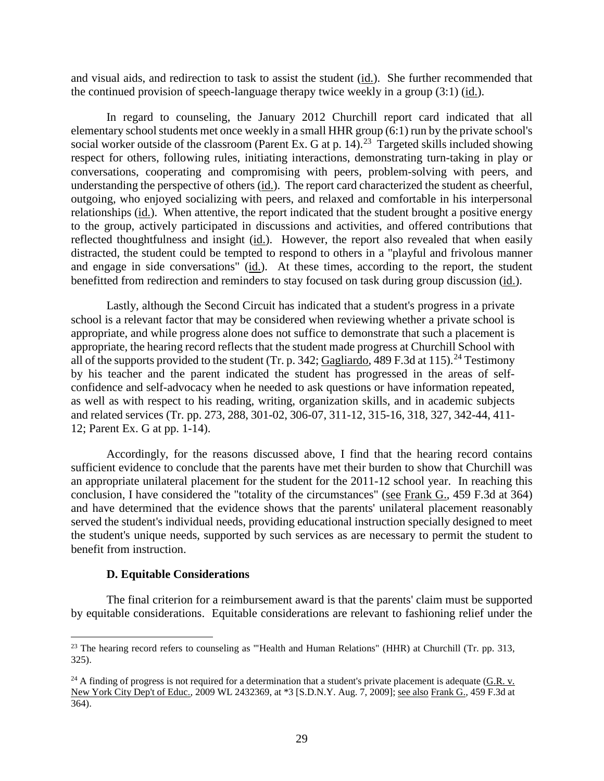and visual aids, and redirection to task to assist the student (id.). She further recommended that the continued provision of speech-language therapy twice weekly in a group (3:1) (id.).

In regard to counseling, the January 2012 Churchill report card indicated that all elementary school students met once weekly in a small HHR group (6:1) run by the private school's social worker outside of the classroom (Parent Ex. G at p. 14).<sup>23</sup> Targeted skills included showing respect for others, following rules, initiating interactions, demonstrating turn-taking in play or conversations, cooperating and compromising with peers, problem-solving with peers, and understanding the perspective of others (id.). The report card characterized the student as cheerful, outgoing, who enjoyed socializing with peers, and relaxed and comfortable in his interpersonal relationships (id.). When attentive, the report indicated that the student brought a positive energy to the group, actively participated in discussions and activities, and offered contributions that reflected thoughtfulness and insight (id.). However, the report also revealed that when easily distracted, the student could be tempted to respond to others in a "playful and frivolous manner and engage in side conversations" (id.). At these times, according to the report, the student benefitted from redirection and reminders to stay focused on task during group discussion (id.).

Lastly, although the Second Circuit has indicated that a student's progress in a private school is a relevant factor that may be considered when reviewing whether a private school is appropriate, and while progress alone does not suffice to demonstrate that such a placement is appropriate, the hearing record reflects that the student made progress at Churchill School with all of the supports provided to the student (Tr. p. 342; Gagliardo, 489 F.3d at 115).<sup>24</sup> Testimony by his teacher and the parent indicated the student has progressed in the areas of selfconfidence and self-advocacy when he needed to ask questions or have information repeated, as well as with respect to his reading, writing, organization skills, and in academic subjects and related services (Tr. pp. 273, 288, 301-02, 306-07, 311-12, 315-16, 318, 327, 342-44, 411- 12; Parent Ex. G at pp. 1-14).

Accordingly, for the reasons discussed above, I find that the hearing record contains sufficient evidence to conclude that the parents have met their burden to show that Churchill was an appropriate unilateral placement for the student for the 2011-12 school year. In reaching this conclusion, I have considered the "totality of the circumstances" (see Frank G., 459 F.3d at 364) and have determined that the evidence shows that the parents' unilateral placement reasonably served the student's individual needs, providing educational instruction specially designed to meet the student's unique needs, supported by such services as are necessary to permit the student to benefit from instruction.

#### **D. Equitable Considerations**

The final criterion for a reimbursement award is that the parents' claim must be supported by equitable considerations. Equitable considerations are relevant to fashioning relief under the

<sup>&</sup>lt;sup>23</sup> The hearing record refers to counseling as "'Health and Human Relations" (HHR) at Churchill (Tr. pp. 313, 325).

 $^{24}$  A finding of progress is not required for a determination that a student's private placement is adequate (G.R. v. New York City Dep't of Educ., 2009 WL 2432369, at \*3 [S.D.N.Y. Aug. 7, 2009]; see also Frank G., 459 F.3d at 364).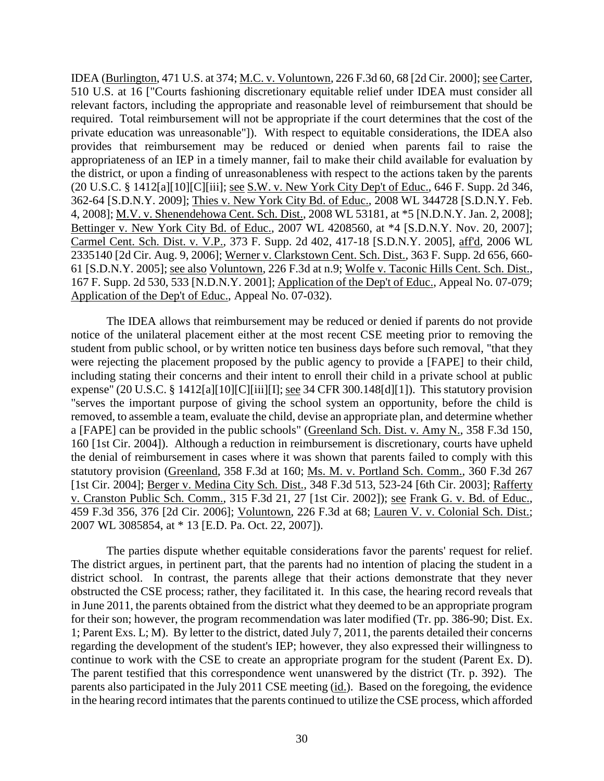IDEA (Burlington, 471 U.S. at 374; M.C. v. Voluntown, 226 F.3d 60, 68 [2d Cir. 2000]; see Carter, 510 U.S. at 16 ["Courts fashioning discretionary equitable relief under IDEA must consider all relevant factors, including the appropriate and reasonable level of reimbursement that should be required. Total reimbursement will not be appropriate if the court determines that the cost of the private education was unreasonable"]). With respect to equitable considerations, the IDEA also provides that reimbursement may be reduced or denied when parents fail to raise the appropriateness of an IEP in a timely manner, fail to make their child available for evaluation by the district, or upon a finding of unreasonableness with respect to the actions taken by the parents (20 U.S.C. § 1412[a][10][C][iii]; see S.W. v. New York City Dep't of Educ., 646 F. Supp. 2d 346, 362-64 [S.D.N.Y. 2009]; Thies v. New York City Bd. of Educ., 2008 WL 344728 [S.D.N.Y. Feb. 4, 2008]; M.V. v. Shenendehowa Cent. Sch. Dist., 2008 WL 53181, at \*5 [N.D.N.Y. Jan. 2, 2008]; Bettinger v. New York City Bd. of Educ., 2007 WL 4208560, at \*4 [S.D.N.Y. Nov. 20, 2007]; Carmel Cent. Sch. Dist. v. V.P., 373 F. Supp. 2d 402, 417-18 [S.D.N.Y. 2005], aff'd, 2006 WL 2335140 [2d Cir. Aug. 9, 2006]; Werner v. Clarkstown Cent. Sch. Dist., 363 F. Supp. 2d 656, 660- 61 [S.D.N.Y. 2005]; see also Voluntown, 226 F.3d at n.9; Wolfe v. Taconic Hills Cent. Sch. Dist., 167 F. Supp. 2d 530, 533 [N.D.N.Y. 2001]; Application of the Dep't of Educ., Appeal No. 07-079; Application of the Dep't of Educ., Appeal No. 07-032).

The IDEA allows that reimbursement may be reduced or denied if parents do not provide notice of the unilateral placement either at the most recent CSE meeting prior to removing the student from public school, or by written notice ten business days before such removal, "that they were rejecting the placement proposed by the public agency to provide a [FAPE] to their child, including stating their concerns and their intent to enroll their child in a private school at public expense" (20 U.S.C. § 1412[a][10][C][iii][I]; see 34 CFR 300.148[d][1]). This statutory provision "serves the important purpose of giving the school system an opportunity, before the child is removed, to assemble a team, evaluate the child, devise an appropriate plan, and determine whether a [FAPE] can be provided in the public schools" (Greenland Sch. Dist. v. Amy N., 358 F.3d 150, 160 [1st Cir. 2004]). Although a reduction in reimbursement is discretionary, courts have upheld the denial of reimbursement in cases where it was shown that parents failed to comply with this statutory provision (Greenland, 358 F.3d at 160; Ms. M. v. Portland Sch. Comm., 360 F.3d 267 [1st Cir. 2004]; Berger v. Medina City Sch. Dist., 348 F.3d 513, 523-24 [6th Cir. 2003]; Rafferty v. Cranston Public Sch. Comm., 315 F.3d 21, 27 [1st Cir. 2002]); see Frank G. v. Bd. of Educ., 459 F.3d 356, 376 [2d Cir. 2006]; Voluntown, 226 F.3d at 68; Lauren V. v. Colonial Sch. Dist.; 2007 WL 3085854, at \* 13 [E.D. Pa. Oct. 22, 2007]).

The parties dispute whether equitable considerations favor the parents' request for relief. The district argues, in pertinent part, that the parents had no intention of placing the student in a district school. In contrast, the parents allege that their actions demonstrate that they never obstructed the CSE process; rather, they facilitated it. In this case, the hearing record reveals that in June 2011, the parents obtained from the district what they deemed to be an appropriate program for their son; however, the program recommendation was later modified (Tr. pp. 386-90; Dist. Ex. 1; Parent Exs. L; M). By letter to the district, dated July 7, 2011, the parents detailed their concerns regarding the development of the student's IEP; however, they also expressed their willingness to continue to work with the CSE to create an appropriate program for the student (Parent Ex. D). The parent testified that this correspondence went unanswered by the district (Tr. p. 392). The parents also participated in the July 2011 CSE meeting (id.). Based on the foregoing, the evidence in the hearing record intimates that the parents continued to utilize the CSE process, which afforded